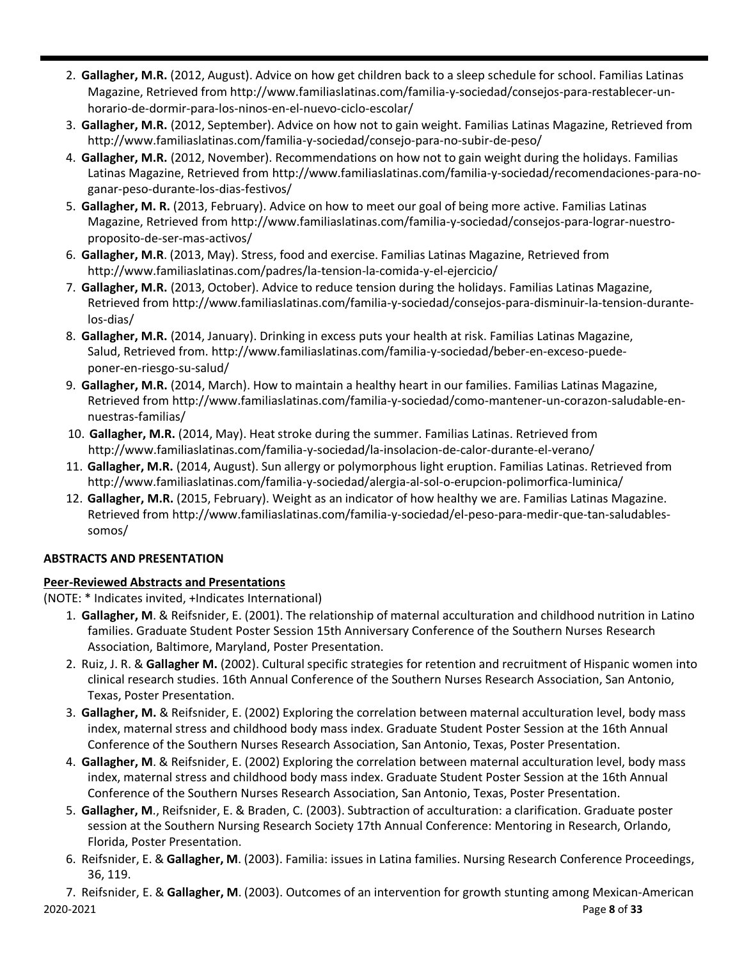- 2. **Gallagher, M.R.** (2012, August). Advice on how get children back to a sleep schedule for school. Familias Latinas Magazine, Retrieved from familiaslatinas.com/familia-y-sociedad/consejos-para-restablecer-unhorario-de-dormir-para-los-ninos-en-el-nuevo-ciclo-escolar/
- 3. **Gallagher, M.R.** (2012, September). Advice on how not to gain weight. Familias Latinas Magazine, Retrieved from familiaslatinas.com/familia-y-sociedad/consejo-para-no-subir-de-peso/
- 4. **Gallagher, M.R.** (2012, November). Recommendations on how not to gain weight during the holidays. Familias Latinas Magazine, Retrieved from familiaslatinas.com/familia-y-sociedad/recomendaciones-para-noganar-peso-durante-los-dias-festivos/
- 5. **Gallagher, M. R.** (2013, February). Advice on how to meet our goal of being more active. Familias Latinas Magazine, Retrieved from familiaslatinas.com/familia-y-sociedad/consejos-para-lograr-nuestroproposito-de-ser-mas-activos/
- 6. **Gallagher, M.R**. (2013, May). Stress, food and exercise. Familias Latinas Magazine, Retrieved from familiaslatinas.com/padres/la-tension-la-comida-y-el-ejercicio/
- 7. **Gallagher, M.R.** (2013, October). Advice to reduce tension during the holidays. Familias Latinas Magazine, Retrieved from familiaslatinas.com/familia-y-sociedad/consejos-para-disminuir-la-tension-durantelos-dias/
- 8. **Gallagher, M.R.** (2014, January). Drinking in excess puts your health at risk. Familias Latinas Magazine, Salud, Retrieved from. familiaslatinas.com/familia-y-sociedad/beber-en-exceso-puedeponer-en-riesgo-su-salud/
- 9. **Gallagher, M.R.** (2014, March). How to maintain a healthy heart in our families. Familias Latinas Magazine, Retrieved from familiaslatinas.com/familia-y-sociedad/como-mantener-un-corazon-saludable-ennuestras-familias/
- 10. **Gallagher, M.R.** (2014, May). Heatstroke during the summer. Familias Latinas. Retrieved from familiaslatinas.com/familia-y-sociedad/la-insolacion-de-calor-durante-el-verano/
- 11. **Gallagher, M.R.** (2014, August). Sun allergy or polymorphous light eruption. Familias Latinas. Retrieved from familiaslatinas.com/familia-y-sociedad/alergia-al-sol-o-erupcion-polimorfica-luminica/
- 12. **Gallagher, M.R.** (2015, February). Weight as an indicator of how healthy we are. Familias Latinas Magazine. Retrieved from familiaslatinas.com/familia-y-sociedad/el-peso-para-medir-que-tan-saludablessomos/

# **ABSTRACTS AND PRESENTATION**

# **Peer-Reviewed Abstracts and Presentations**

(NOTE: \* Indicates invited, +Indicates International)

- 1. **Gallagher, M**. & Reifsnider, E. (2001). The relationship of maternal acculturation and childhood nutrition in Latino families. Graduate Student Poster Session 15th Anniversary Conference of the Southern Nurses Research Association, Baltimore, Maryland, Poster Presentation.
- 2. Ruiz, J. R. & **Gallagher M.** (2002). Cultural specific strategies for retention and recruitment of Hispanic women into clinical research studies. 16th Annual Conference of the Southern Nurses Research Association, San Antonio, Texas, Poster Presentation.
- 3. **Gallagher, M.** & Reifsnider, E. (2002) Exploring the correlation between maternal acculturation level, body mass index, maternal stress and childhood body mass index. Graduate Student Poster Session at the 16th Annual Conference of the Southern Nurses Research Association, San Antonio, Texas, Poster Presentation.
- 4. **Gallagher, M**. & Reifsnider, E. (2002) Exploring the correlation between maternal acculturation level, body mass index, maternal stress and childhood body mass index. Graduate Student Poster Session at the 16th Annual Conference of the Southern Nurses Research Association, San Antonio, Texas, Poster Presentation.
- 5. **Gallagher, M**., Reifsnider, E. & Braden, C. (2003). Subtraction of acculturation: a clarification. Graduate poster session at the Southern Nursing Research Society 17th Annual Conference: Mentoring in Research, Orlando, Florida, Poster Presentation.
- 6. Reifsnider, E. & **Gallagher, M**. (2003). Familia: issues in Latina families. Nursing Research Conference Proceedings, 36, 119.

2020-2021 Page **8** of **33** 7. Reifsnider, E. & **Gallagher, M**. (2003). Outcomes of an intervention for growth stunting among Mexican-American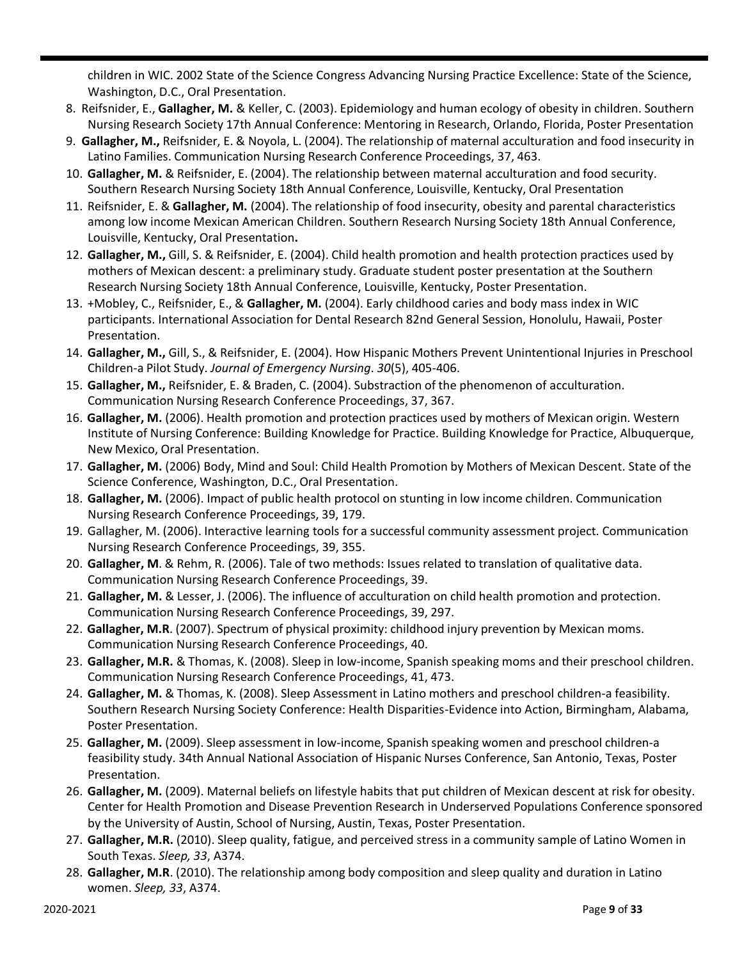children in WIC. 2002 State of the Science Congress Advancing Nursing Practice Excellence: State of the Science, Washington, D.C., Oral Presentation.

- 8. Reifsnider, E., **Gallagher, M.** & Keller, C. (2003). Epidemiology and human ecology of obesity in children. Southern Nursing Research Society 17th Annual Conference: Mentoring in Research, Orlando, Florida, Poster Presentation
- 9. **Gallagher, M.,** Reifsnider, E. & Noyola, L. (2004). The relationship of maternal acculturation and food insecurity in Latino Families. Communication Nursing Research Conference Proceedings, 37, 463.
- 10. **Gallagher, M.** & Reifsnider, E. (2004). The relationship between maternal acculturation and food security. Southern Research Nursing Society 18th Annual Conference, Louisville, Kentucky, Oral Presentation
- 11. Reifsnider, E. & **Gallagher, M.** (2004). The relationship of food insecurity, obesity and parental characteristics among low income Mexican American Children. Southern Research Nursing Society 18th Annual Conference, Louisville, Kentucky, Oral Presentation**.**
- 12. **Gallagher, M.,** Gill, S. & Reifsnider, E. (2004). Child health promotion and health protection practices used by mothers of Mexican descent: a preliminary study. Graduate student poster presentation at the Southern Research Nursing Society 18th Annual Conference, Louisville, Kentucky, Poster Presentation.
- 13. +Mobley, C., Reifsnider, E., & **Gallagher, M.** (2004). Early childhood caries and body mass index in WIC participants. International Association for Dental Research 82nd General Session, Honolulu, Hawaii, Poster Presentation.
- 14. **Gallagher, M.,** Gill, S., & Reifsnider, E. (2004). How Hispanic Mothers Prevent Unintentional Injuries in Preschool Children-a Pilot Study. *Journal of Emergency Nursing*. *30*(5), 405-406.
- 15. **Gallagher, M.,** Reifsnider, E. & Braden, C. (2004). Substraction of the phenomenon of acculturation. Communication Nursing Research Conference Proceedings, 37, 367.
- 16. **Gallagher, M.** (2006). Health promotion and protection practices used by mothers of Mexican origin. Western Institute of Nursing Conference: Building Knowledge for Practice. Building Knowledge for Practice, Albuquerque, New Mexico, Oral Presentation.
- 17. **Gallagher, M.** (2006) Body, Mind and Soul: Child Health Promotion by Mothers of Mexican Descent. State of the Science Conference, Washington, D.C., Oral Presentation.
- 18. **Gallagher, M.** (2006). Impact of public health protocol on stunting in low income children. Communication Nursing Research Conference Proceedings, 39, 179.
- 19. Gallagher, M. (2006). Interactive learning tools for a successful community assessment project. Communication Nursing Research Conference Proceedings, 39, 355.
- 20. **Gallagher, M**. & Rehm, R. (2006). Tale of two methods: Issues related to translation of qualitative data. Communication Nursing Research Conference Proceedings, 39.
- 21. **Gallagher, M.** & Lesser, J. (2006). The influence of acculturation on child health promotion and protection. Communication Nursing Research Conference Proceedings, 39, 297.
- 22. **Gallagher, M.R**. (2007). Spectrum of physical proximity: childhood injury prevention by Mexican moms. Communication Nursing Research Conference Proceedings, 40.
- 23. **Gallagher, M.R.** & Thomas, K. (2008). Sleep in low-income, Spanish speaking moms and their preschool children. Communication Nursing Research Conference Proceedings, 41, 473.
- 24. **Gallagher, M.** & Thomas, K. (2008). Sleep Assessment in Latino mothers and preschool children-a feasibility. Southern Research Nursing Society Conference: Health Disparities-Evidence into Action, Birmingham, Alabama, Poster Presentation.
- 25. **Gallagher, M.** (2009). Sleep assessment in low-income, Spanish speaking women and preschool children-a feasibility study. 34th Annual National Association of Hispanic Nurses Conference, San Antonio, Texas, Poster Presentation.
- 26. **Gallagher, M.** (2009). Maternal beliefs on lifestyle habits that put children of Mexican descent at risk for obesity. Center for Health Promotion and Disease Prevention Research in Underserved Populations Conference sponsored by the University of Austin, School of Nursing, Austin, Texas, Poster Presentation.
- 27. **Gallagher, M.R.** (2010). Sleep quality, fatigue, and perceived stress in a community sample of Latino Women in South Texas. *Sleep, 33*, A374.
- 28. **Gallagher, M.R**. (2010). The relationship among body composition and sleep quality and duration in Latino women. *Sleep, 33*, A374.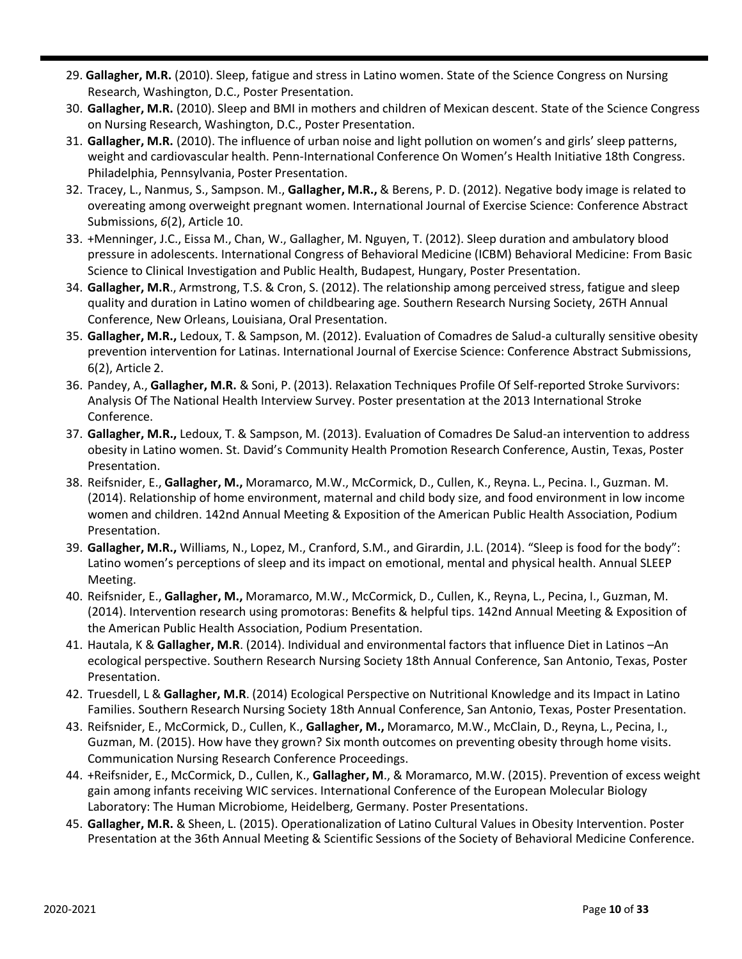- 29. **Gallagher, M.R.** (2010). Sleep, fatigue and stress in Latino women. State of the Science Congress on Nursing Research, Washington, D.C., Poster Presentation.
- 30. **Gallagher, M.R.** (2010). Sleep and BMI in mothers and children of Mexican descent. State of the Science Congress on Nursing Research, Washington, D.C., Poster Presentation.
- 31. **Gallagher, M.R.** (2010). The influence of urban noise and light pollution on women's and girls' sleep patterns, weight and cardiovascular health. Penn-International Conference On Women's Health Initiative 18th Congress. Philadelphia, Pennsylvania, Poster Presentation.
- 32. Tracey, L., Nanmus, S., Sampson. M., **Gallagher, M.R.,** & Berens, P. D. (2012). Negative body image is related to overeating among overweight pregnant women. International Journal of Exercise Science: Conference Abstract Submissions, *6*(2), Article 10.
- 33. +Menninger, J.C., Eissa M., Chan, W., Gallagher, M. Nguyen, T. (2012). Sleep duration and ambulatory blood pressure in adolescents. International Congress of Behavioral Medicine (ICBM) Behavioral Medicine: From Basic Science to Clinical Investigation and Public Health, Budapest, Hungary, Poster Presentation.
- 34. **Gallagher, M.R**., Armstrong, T.S. & Cron, S. (2012). The relationship among perceived stress, fatigue and sleep quality and duration in Latino women of childbearing age. Southern Research Nursing Society, 26TH Annual Conference, New Orleans, Louisiana, Oral Presentation.
- 35. **Gallagher, M.R.,** Ledoux, T. & Sampson, M. (2012). Evaluation of Comadres de Salud-a culturally sensitive obesity prevention intervention for Latinas. International Journal of Exercise Science: Conference Abstract Submissions, 6(2), Article 2.
- 36. Pandey, A., **Gallagher, M.R.** & Soni, P. (2013). Relaxation Techniques Profile Of Self-reported Stroke Survivors: Analysis Of The National Health Interview Survey. Poster presentation at the 2013 International Stroke Conference.
- 37. **Gallagher, M.R.,** Ledoux, T. & Sampson, M. (2013). Evaluation of Comadres De Salud-an intervention to address obesity in Latino women. St. David's Community Health Promotion Research Conference, Austin, Texas, Poster Presentation.
- 38. Reifsnider, E., **Gallagher, M.,** Moramarco, M.W., McCormick, D., Cullen, K., Reyna. L., Pecina. I., Guzman. M. (2014). Relationship of home environment, maternal and child body size, and food environment in low income women and children. 142nd Annual Meeting & Exposition of the American Public Health Association, Podium Presentation.
- 39. **Gallagher, M.R.,** Williams, N., Lopez, M., Cranford, S.M., and Girardin, J.L. (2014). "Sleep is food for the body": Latino women's perceptions of sleep and its impact on emotional, mental and physical health. Annual SLEEP Meeting.
- 40. Reifsnider, E., **Gallagher, M.,** Moramarco, M.W., McCormick, D., Cullen, K., Reyna, L., Pecina, I., Guzman, M. (2014). Intervention research using promotoras: Benefits & helpful tips. 142nd Annual Meeting & Exposition of the American Public Health Association, Podium Presentation.
- 41. Hautala, K & **Gallagher, M.R**. (2014). Individual and environmental factors that influence Diet in Latinos –An ecological perspective. Southern Research Nursing Society 18th Annual Conference, San Antonio, Texas, Poster Presentation.
- 42. Truesdell, L & **Gallagher, M.R**. (2014) Ecological Perspective on Nutritional Knowledge and its Impact in Latino Families. Southern Research Nursing Society 18th Annual Conference, San Antonio, Texas, Poster Presentation.
- 43. Reifsnider, E., McCormick, D., Cullen, K., **Gallagher, M.,** Moramarco, M.W., McClain, D., Reyna, L., Pecina, I., Guzman, M. (2015). How have they grown? Six month outcomes on preventing obesity through home visits. Communication Nursing Research Conference Proceedings.
- 44. +Reifsnider, E., McCormick, D., Cullen, K., **Gallagher, M**., & Moramarco, M.W. (2015). Prevention of excess weight gain among infants receiving WIC services. International Conference of the European Molecular Biology Laboratory: The Human Microbiome, Heidelberg, Germany. Poster Presentations.
- 45. **Gallagher, M.R.** & Sheen, L. (2015). Operationalization of Latino Cultural Values in Obesity Intervention. Poster Presentation at the 36th Annual Meeting & Scientific Sessions of the Society of Behavioral Medicine Conference.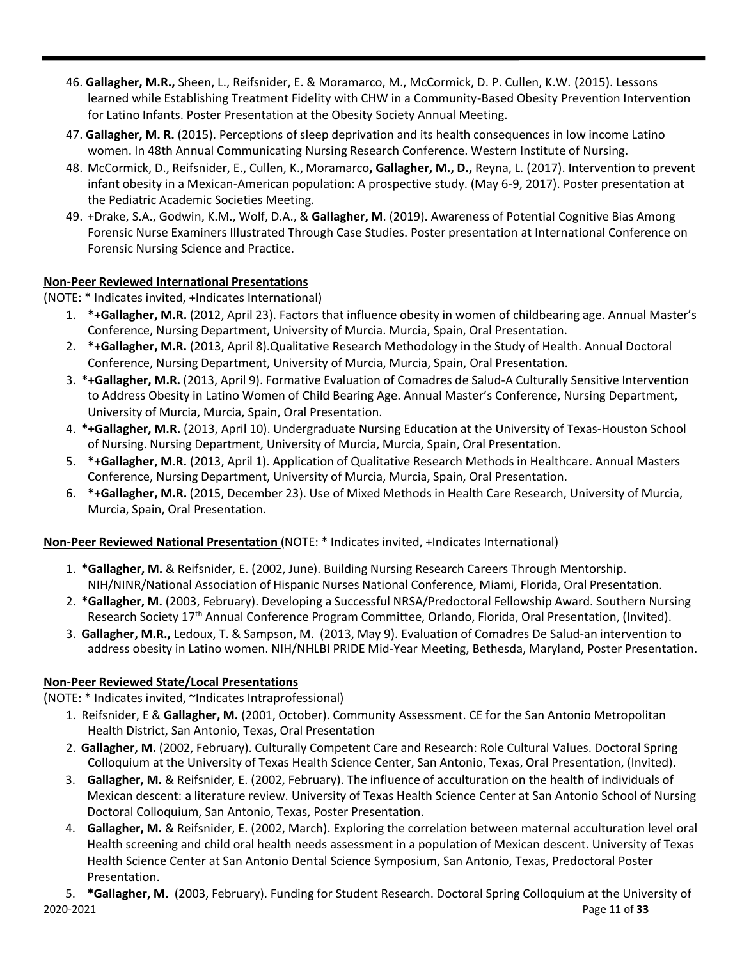- 46. **Gallagher, M.R.,** Sheen, L., Reifsnider, E. & Moramarco, M., McCormick, D. P. Cullen, K.W. (2015). Lessons learned while Establishing Treatment Fidelity with CHW in a Community-Based Obesity Prevention Intervention for Latino Infants. Poster Presentation at the Obesity Society Annual Meeting.
- 47. **Gallagher, M. R.** (2015). Perceptions of sleep deprivation and its health consequences in low income Latino women. In 48th Annual Communicating Nursing Research Conference. Western Institute of Nursing.
- 48. McCormick, D., Reifsnider, E., Cullen, K., Moramarco**, Gallagher, M., D.,** Reyna, L. (2017). Intervention to prevent infant obesity in a Mexican-American population: A prospective study. (May 6-9, 2017). Poster presentation at the Pediatric Academic Societies Meeting.
- 49. +Drake, S.A., Godwin, K.M., Wolf, D.A., & **Gallagher, M**. (2019). Awareness of Potential Cognitive Bias Among Forensic Nurse Examiners Illustrated Through Case Studies. Poster presentation at International Conference on Forensic Nursing Science and Practice.

#### **Non-Peer Reviewed International Presentations**

(NOTE: \* Indicates invited, +Indicates International)

- 1. **\*+Gallagher, M.R.** (2012, April 23). Factors that influence obesity in women of childbearing age. Annual Master's Conference, Nursing Department, University of Murcia. Murcia, Spain, Oral Presentation.
- 2. **\*+Gallagher, M.R.** (2013, April 8).Qualitative Research Methodology in the Study of Health. Annual Doctoral Conference, Nursing Department, University of Murcia, Murcia, Spain, Oral Presentation.
- 3. **\*+Gallagher, M.R.** (2013, April 9). Formative Evaluation of Comadres de Salud-A Culturally Sensitive Intervention to Address Obesity in Latino Women of Child Bearing Age. Annual Master's Conference, Nursing Department, University of Murcia, Murcia, Spain, Oral Presentation.
- 4. **\*+Gallagher, M.R.** (2013, April 10). Undergraduate Nursing Education at the University of Texas-Houston School of Nursing. Nursing Department, University of Murcia, Murcia, Spain, Oral Presentation.
- 5. **\*+Gallagher, M.R.** (2013, April 1). Application of Qualitative Research Methods in Healthcare. Annual Masters Conference, Nursing Department, University of Murcia, Murcia, Spain, Oral Presentation.
- 6. **\*+Gallagher, M.R.** (2015, December 23). Use of Mixed Methods in Health Care Research, University of Murcia, Murcia, Spain, Oral Presentation.

#### **Non-Peer Reviewed National Presentation** (NOTE: \* Indicates invited, +Indicates International)

- 1. **\*Gallagher, M.** & Reifsnider, E. (2002, June). Building Nursing Research Careers Through Mentorship. NIH/NINR/National Association of Hispanic Nurses National Conference, Miami, Florida, Oral Presentation.
- 2. **\*Gallagher, M.** (2003, February). Developing a Successful NRSA/Predoctoral Fellowship Award. Southern Nursing Research Society 17th Annual Conference Program Committee, Orlando, Florida, Oral Presentation, (Invited).
- 3. **Gallagher, M.R.,** Ledoux, T. & Sampson, M. (2013, May 9). Evaluation of Comadres De Salud-an intervention to address obesity in Latino women. NIH/NHLBI PRIDE Mid-Year Meeting, Bethesda, Maryland, Poster Presentation.

# **Non-Peer Reviewed State/Local Presentations**

(NOTE: \* Indicates invited, ~Indicates Intraprofessional)

- 1. Reifsnider, E & **Gallagher, M.** (2001, October). Community Assessment. CE for the San Antonio Metropolitan Health District, San Antonio, Texas, Oral Presentation
- 2. **Gallagher, M.** (2002, February). Culturally Competent Care and Research: Role Cultural Values. Doctoral Spring Colloquium at the University of Texas Health Science Center, San Antonio, Texas, Oral Presentation, (Invited).
- 3. **Gallagher, M.** & Reifsnider, E. (2002, February). The influence of acculturation on the health of individuals of Mexican descent: a literature review. University of Texas Health Science Center at San Antonio School of Nursing Doctoral Colloquium, San Antonio, Texas, Poster Presentation.
- 4. **Gallagher, M.** & Reifsnider, E. (2002, March). Exploring the correlation between maternal acculturation level oral Health screening and child oral health needs assessment in a population of Mexican descent. University of Texas Health Science Center at San Antonio Dental Science Symposium, San Antonio, Texas, Predoctoral Poster Presentation.

2020-2021 Page **11** of **33** 5. **\*Gallagher, M.** (2003, February). Funding for Student Research. Doctoral Spring Colloquium at the University of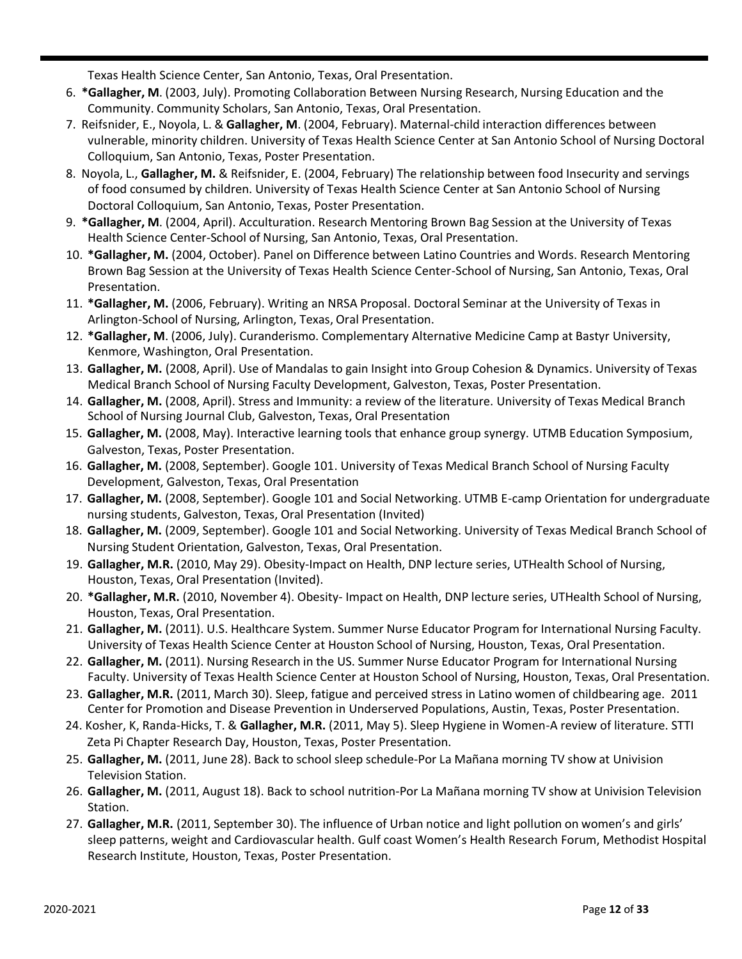Texas Health Science Center, San Antonio, Texas, Oral Presentation.

- 6. **\*Gallagher, M**. (2003, July). Promoting Collaboration Between Nursing Research, Nursing Education and the Community. Community Scholars, San Antonio, Texas, Oral Presentation.
- 7. Reifsnider, E., Noyola, L. & **Gallagher, M**. (2004, February). Maternal-child interaction differences between vulnerable, minority children. University of Texas Health Science Center at San Antonio School of Nursing Doctoral Colloquium, San Antonio, Texas, Poster Presentation.
- 8. Noyola, L., **Gallagher, M.** & Reifsnider, E. (2004, February) The relationship between food Insecurity and servings of food consumed by children. University of Texas Health Science Center at San Antonio School of Nursing Doctoral Colloquium, San Antonio, Texas, Poster Presentation.
- 9. **\*Gallagher, M**. (2004, April). Acculturation. Research Mentoring Brown Bag Session at the University of Texas Health Science Center-School of Nursing, San Antonio, Texas, Oral Presentation.
- 10. **\*Gallagher, M.** (2004, October). Panel on Difference between Latino Countries and Words. Research Mentoring Brown Bag Session at the University of Texas Health Science Center-School of Nursing, San Antonio, Texas, Oral Presentation.
- 11. **\*Gallagher, M.** (2006, February). Writing an NRSA Proposal. Doctoral Seminar at the University of Texas in Arlington-School of Nursing, Arlington, Texas, Oral Presentation.
- 12. **\*Gallagher, M**. (2006, July). Curanderismo. Complementary Alternative Medicine Camp at Bastyr University, Kenmore, Washington, Oral Presentation.
- 13. **Gallagher, M.** (2008, April). Use of Mandalas to gain Insight into Group Cohesion & Dynamics. University of Texas Medical Branch School of Nursing Faculty Development, Galveston, Texas, Poster Presentation.
- 14. **Gallagher, M.** (2008, April). Stress and Immunity: a review of the literature. University of Texas Medical Branch School of Nursing Journal Club, Galveston, Texas, Oral Presentation
- 15. **Gallagher, M.** (2008, May). Interactive learning tools that enhance group synergy. UTMB Education Symposium, Galveston, Texas, Poster Presentation.
- 16. **Gallagher, M.** (2008, September). Google 101. University of Texas Medical Branch School of Nursing Faculty Development, Galveston, Texas, Oral Presentation
- 17. **Gallagher, M.** (2008, September). Google 101 and Social Networking. UTMB E-camp Orientation for undergraduate nursing students, Galveston, Texas, Oral Presentation (Invited)
- 18. **Gallagher, M.** (2009, September). Google 101 and Social Networking. University of Texas Medical Branch School of Nursing Student Orientation, Galveston, Texas, Oral Presentation.
- 19. **Gallagher, M.R.** (2010, May 29). Obesity-Impact on Health, DNP lecture series, UTHealth School of Nursing, Houston, Texas, Oral Presentation (Invited).
- 20. **\*Gallagher, M.R.** (2010, November 4). Obesity- Impact on Health, DNP lecture series, UTHealth School of Nursing, Houston, Texas, Oral Presentation.
- 21. **Gallagher, M.** (2011). U.S. Healthcare System. Summer Nurse Educator Program for International Nursing Faculty. University of Texas Health Science Center at Houston School of Nursing, Houston, Texas, Oral Presentation.
- 22. **Gallagher, M.** (2011). Nursing Research in the US. Summer Nurse Educator Program for International Nursing Faculty. University of Texas Health Science Center at Houston School of Nursing, Houston, Texas, Oral Presentation.
- 23. **Gallagher, M.R.** (2011, March 30). Sleep, fatigue and perceived stress in Latino women of childbearing age. 2011 Center for Promotion and Disease Prevention in Underserved Populations, Austin, Texas, Poster Presentation.
- 24. Kosher, K, Randa-Hicks, T. & **Gallagher, M.R.** (2011, May 5). Sleep Hygiene in Women-A review of literature. STTI Zeta Pi Chapter Research Day, Houston, Texas, Poster Presentation.
- 25. **Gallagher, M.** (2011, June 28). Back to school sleep schedule-Por La Mañana morning TV show at Univision Television Station.
- 26. **Gallagher, M.** (2011, August 18). Back to school nutrition-Por La Mañana morning TV show at Univision Television Station.
- 27. **Gallagher, M.R.** (2011, September 30). The influence of Urban notice and light pollution on women's and girls' sleep patterns, weight and Cardiovascular health. Gulf coast Women's Health Research Forum, Methodist Hospital Research Institute, Houston, Texas, Poster Presentation.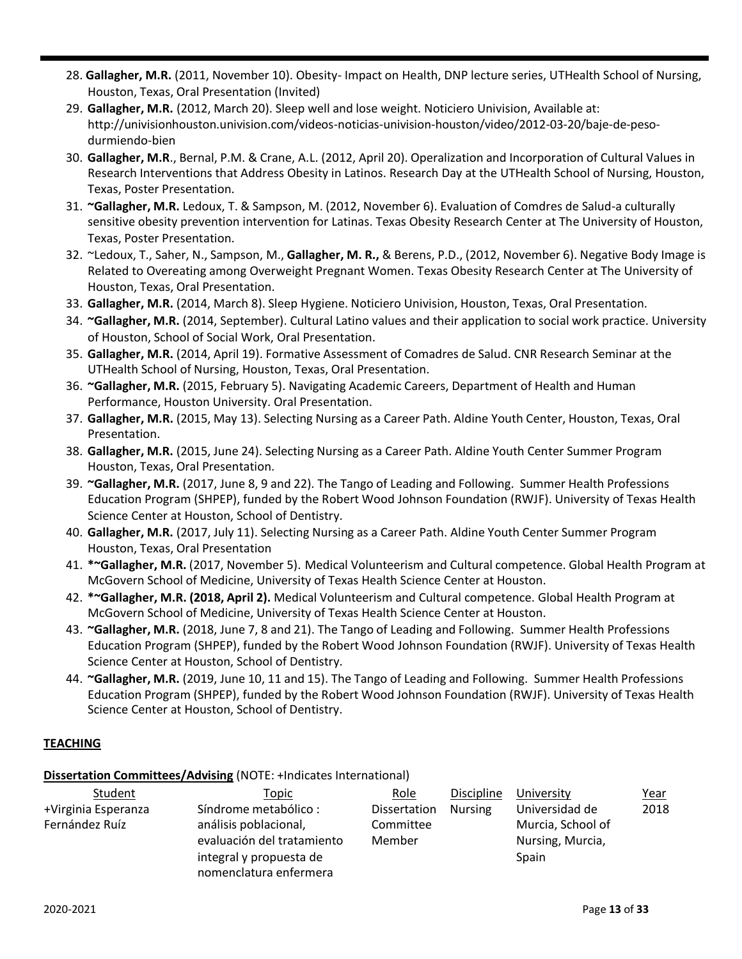- 28. **Gallagher, M.R.** (2011, November 10). Obesity- Impact on Health, DNP lecture series, UTHealth School of Nursing, Houston, Texas, Oral Presentation (Invited)
- 29. **Gallagher, M.R.** (2012, March 20). Sleep well and lose weight. Noticiero Univision, Available at: [http://univisionhouston.univision.com/videos-noticias-univision-houston/video/2012-03-20/baje-de-peso](http://univisionhouston.univision.com/videos-noticias-univision-houston/video/2012-03-20/baje-de-peso-)durmiendo-bien
- 30. **Gallagher, M.R**., Bernal, P.M. & Crane, A.L. (2012, April 20). Operalization and Incorporation of Cultural Values in Research Interventions that Address Obesity in Latinos. Research Day at the UTHealth School of Nursing, Houston, Texas, Poster Presentation.
- 31. **~Gallagher, M.R.** Ledoux, T. & Sampson, M. (2012, November 6). Evaluation of Comdres de Salud-a culturally sensitive obesity prevention intervention for Latinas. Texas Obesity Research Center at The University of Houston, Texas, Poster Presentation.
- 32. ~Ledoux, T., Saher, N., Sampson, M., **Gallagher, M. R.,** & Berens, P.D., (2012, November 6). Negative Body Image is Related to Overeating among Overweight Pregnant Women. Texas Obesity Research Center at The University of Houston, Texas, Oral Presentation.
- 33. **Gallagher, M.R.** (2014, March 8). Sleep Hygiene. Noticiero Univision, Houston, Texas, Oral Presentation.
- 34. **~Gallagher, M.R.** (2014, September). Cultural Latino values and their application to social work practice. University of Houston, School of Social Work, Oral Presentation.
- 35. **Gallagher, M.R.** (2014, April 19). Formative Assessment of Comadres de Salud. CNR Research Seminar at the UTHealth School of Nursing, Houston, Texas, Oral Presentation.
- 36. **~Gallagher, M.R.** (2015, February 5). Navigating Academic Careers, Department of Health and Human Performance, Houston University. Oral Presentation.
- 37. **Gallagher, M.R.** (2015, May 13). Selecting Nursing as a Career Path. Aldine Youth Center, Houston, Texas, Oral Presentation.
- 38. **Gallagher, M.R.** (2015, June 24). Selecting Nursing as a Career Path. Aldine Youth Center Summer Program Houston, Texas, Oral Presentation.
- 39. **~Gallagher, M.R.** (2017, June 8, 9 and 22). The Tango of Leading and Following. Summer Health Professions Education Program (SHPEP), funded by the Robert Wood Johnson Foundation (RWJF). University of Texas Health Science Center at Houston, School of Dentistry.
- 40. **Gallagher, M.R.** (2017, July 11). Selecting Nursing as a Career Path. Aldine Youth Center Summer Program Houston, Texas, Oral Presentation
- 41. **\*~Gallagher, M.R.** (2017, November 5). Medical Volunteerism and Cultural competence. Global Health Program at McGovern School of Medicine, University of Texas Health Science Center at Houston.
- 42. **\*~Gallagher, M.R. (2018, April 2).** Medical Volunteerism and Cultural competence. Global Health Program at McGovern School of Medicine, University of Texas Health Science Center at Houston.
- 43. **~Gallagher, M.R.** (2018, June 7, 8 and 21). The Tango of Leading and Following. Summer Health Professions Education Program (SHPEP), funded by the Robert Wood Johnson Foundation (RWJF). University of Texas Health Science Center at Houston, School of Dentistry.
- 44. **~Gallagher, M.R.** (2019, June 10, 11 and 15). The Tango of Leading and Following. Summer Health Professions Education Program (SHPEP), funded by the Robert Wood Johnson Foundation (RWJF). University of Texas Health Science Center at Houston, School of Dentistry.

# **TEACHING**

#### **Dissertation Committees/Advising** (NOTE: +Indicates International)

| Student             | <u>Topic</u>               | Role         | Discipline     | University        | <u>Year</u> |
|---------------------|----------------------------|--------------|----------------|-------------------|-------------|
| +Virginia Esperanza | Síndrome metabólico:       | Dissertation | <b>Nursing</b> | Universidad de    | 2018        |
| Fernández Ruíz      | análisis poblacional,      | Committee    |                | Murcia, School of |             |
|                     | evaluación del tratamiento | Member       |                | Nursing, Murcia,  |             |
|                     | integral y propuesta de    |              |                | Spain             |             |
|                     | nomenclatura enfermera     |              |                |                   |             |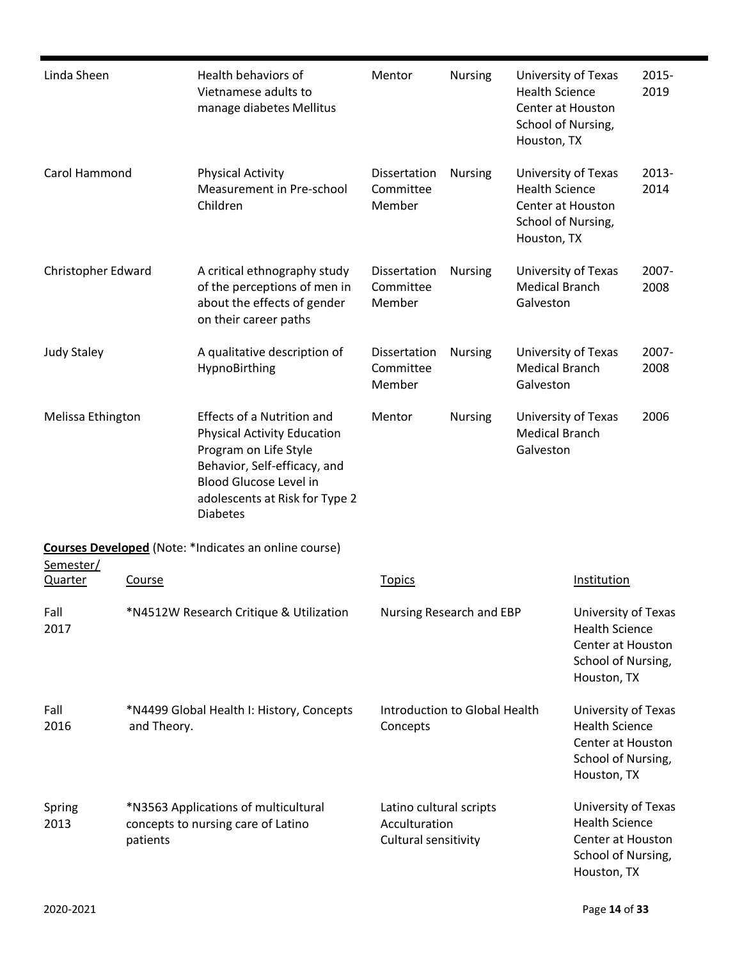| Linda Sheen                                                                                              |                                         | Health behaviors of<br>Vietnamese adults to<br>manage diabetes Mellitus                                                                                                                                  | Mentor                              | <b>Nursing</b> | University of Texas<br><b>Health Science</b><br><b>Center at Houston</b><br>School of Nursing,<br>Houston, TX |                                                                                                        | 2015-<br>2019    |
|----------------------------------------------------------------------------------------------------------|-----------------------------------------|----------------------------------------------------------------------------------------------------------------------------------------------------------------------------------------------------------|-------------------------------------|----------------|---------------------------------------------------------------------------------------------------------------|--------------------------------------------------------------------------------------------------------|------------------|
| Carol Hammond                                                                                            |                                         | <b>Physical Activity</b><br>Measurement in Pre-school<br>Children                                                                                                                                        | Dissertation<br>Committee<br>Member | <b>Nursing</b> | University of Texas<br><b>Health Science</b><br>Center at Houston<br>School of Nursing,<br>Houston, TX        |                                                                                                        | $2013 -$<br>2014 |
| Christopher Edward                                                                                       |                                         | A critical ethnography study<br>of the perceptions of men in<br>about the effects of gender<br>on their career paths                                                                                     | Dissertation<br>Committee<br>Member | <b>Nursing</b> | University of Texas<br><b>Medical Branch</b><br>Galveston                                                     |                                                                                                        | $2007 -$<br>2008 |
| <b>Judy Staley</b>                                                                                       |                                         | A qualitative description of<br>HypnoBirthing                                                                                                                                                            | Dissertation<br>Committee<br>Member | <b>Nursing</b> | University of Texas<br><b>Medical Branch</b><br>Galveston                                                     |                                                                                                        | 2007-<br>2008    |
| Melissa Ethington                                                                                        |                                         | Effects of a Nutrition and<br><b>Physical Activity Education</b><br>Program on Life Style<br>Behavior, Self-efficacy, and<br>Blood Glucose Level in<br>adolescents at Risk for Type 2<br><b>Diabetes</b> | Mentor<br><b>Nursing</b>            |                | University of Texas<br><b>Medical Branch</b><br>Galveston                                                     |                                                                                                        | 2006             |
|                                                                                                          |                                         | <b>Courses Developed</b> (Note: *Indicates an online course)                                                                                                                                             |                                     |                |                                                                                                               |                                                                                                        |                  |
| Semester/                                                                                                |                                         |                                                                                                                                                                                                          |                                     |                |                                                                                                               | Institution                                                                                            |                  |
| Quarter                                                                                                  | <b>Course</b>                           |                                                                                                                                                                                                          | <b>Topics</b>                       |                |                                                                                                               |                                                                                                        |                  |
| Fall<br>2017                                                                                             | *N4512W Research Critique & Utilization |                                                                                                                                                                                                          | Nursing Research and EBP            |                |                                                                                                               | University of Texas<br><b>Health Science</b><br>Center at Houston<br>School of Nursing,<br>Houston, TX |                  |
| Fall<br>*N4499 Global Health I: History, Concepts<br>2016<br>and Theory.                                 |                                         | Concepts                                                                                                                                                                                                 | Introduction to Global Health       |                | University of Texas<br><b>Health Science</b><br>Center at Houston<br>School of Nursing,<br>Houston, TX        |                                                                                                        |                  |
| *N3563 Applications of multicultural<br>Spring<br>2013<br>concepts to nursing care of Latino<br>patients |                                         | Latino cultural scripts<br>Acculturation<br>Cultural sensitivity                                                                                                                                         |                                     |                | University of Texas<br><b>Health Science</b><br>Center at Houston<br>School of Nursing,<br>Houston, TX        |                                                                                                        |                  |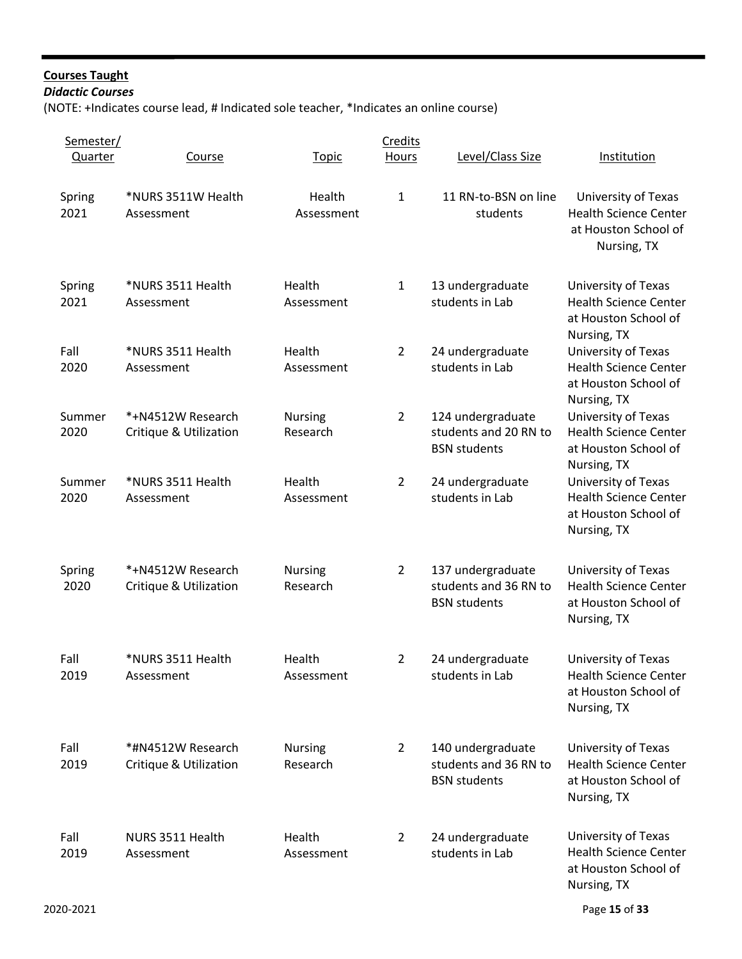# **Courses Taught**

*Didactic Courses*

(NOTE: +Indicates course lead, # Indicated sole teacher, \*Indicates an online course)

| Semester/<br>Quarter | Course                                                 | <b>Topic</b>               | Credits<br><b>Hours</b> | Level/Class Size                                                  | <b>Institution</b>                                                                         |
|----------------------|--------------------------------------------------------|----------------------------|-------------------------|-------------------------------------------------------------------|--------------------------------------------------------------------------------------------|
|                      |                                                        |                            |                         |                                                                   |                                                                                            |
| Spring<br>2021       | *NURS 3511W Health<br>Assessment                       | Health<br>Assessment       | $\mathbf{1}$            | 11 RN-to-BSN on line<br>students                                  | University of Texas<br><b>Health Science Center</b><br>at Houston School of<br>Nursing, TX |
| Spring<br>2021       | *NURS 3511 Health<br>Assessment                        | Health<br>Assessment       | $\mathbf{1}$            | 13 undergraduate<br>students in Lab                               | University of Texas<br><b>Health Science Center</b><br>at Houston School of<br>Nursing, TX |
| Fall<br>2020         | *NURS 3511 Health<br>Assessment                        | Health<br>Assessment       | $\overline{2}$          | 24 undergraduate<br>students in Lab                               | University of Texas<br><b>Health Science Center</b><br>at Houston School of<br>Nursing, TX |
| Summer<br>2020       | *+N4512W Research<br><b>Critique &amp; Utilization</b> | <b>Nursing</b><br>Research | $\overline{2}$          | 124 undergraduate<br>students and 20 RN to<br><b>BSN</b> students | University of Texas<br><b>Health Science Center</b><br>at Houston School of<br>Nursing, TX |
| Summer<br>2020       | *NURS 3511 Health<br>Assessment                        | Health<br>Assessment       | $\overline{2}$          | 24 undergraduate<br>students in Lab                               | University of Texas<br><b>Health Science Center</b><br>at Houston School of<br>Nursing, TX |
| Spring<br>2020       | *+N4512W Research<br>Critique & Utilization            | <b>Nursing</b><br>Research | $\overline{2}$          | 137 undergraduate<br>students and 36 RN to<br><b>BSN</b> students | University of Texas<br><b>Health Science Center</b><br>at Houston School of<br>Nursing, TX |
| Fall<br>2019         | *NURS 3511 Health<br>Assessment                        | Health<br>Assessment       | $\overline{2}$          | 24 undergraduate<br>students in Lab                               | University of Texas<br>Health Science Center<br>at Houston School of<br>Nursing, TX        |
| Fall<br>2019         | *#N4512W Research<br><b>Critique &amp; Utilization</b> | <b>Nursing</b><br>Research | $\overline{2}$          | 140 undergraduate<br>students and 36 RN to<br><b>BSN</b> students | University of Texas<br><b>Health Science Center</b><br>at Houston School of<br>Nursing, TX |
| Fall<br>2019         | NURS 3511 Health<br>Assessment                         | Health<br>Assessment       | 2                       | 24 undergraduate<br>students in Lab                               | University of Texas<br><b>Health Science Center</b><br>at Houston School of<br>Nursing, TX |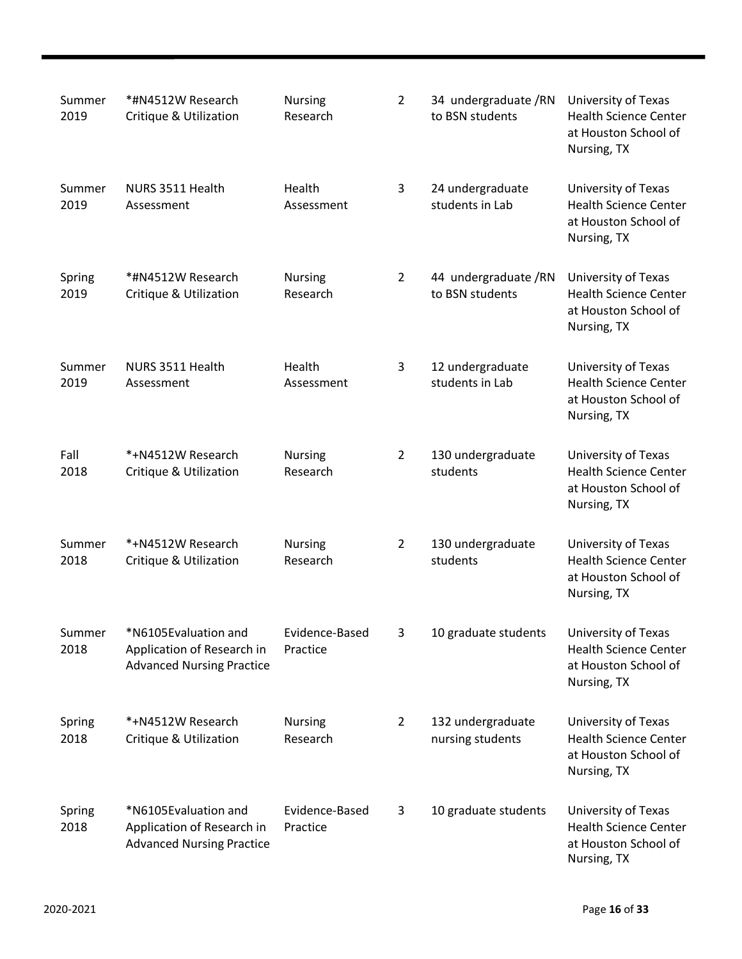| Summer<br>2019 | *#N4512W Research<br>Critique & Utilization                                            | <b>Nursing</b><br>Research | $\overline{2}$ | 34 undergraduate /RN<br>to BSN students | University of Texas<br><b>Health Science Center</b><br>at Houston School of<br>Nursing, TX |
|----------------|----------------------------------------------------------------------------------------|----------------------------|----------------|-----------------------------------------|--------------------------------------------------------------------------------------------|
| Summer<br>2019 | NURS 3511 Health<br>Assessment                                                         | Health<br>Assessment       | 3              | 24 undergraduate<br>students in Lab     | University of Texas<br><b>Health Science Center</b><br>at Houston School of<br>Nursing, TX |
| Spring<br>2019 | *#N4512W Research<br>Critique & Utilization                                            | <b>Nursing</b><br>Research | 2              | 44 undergraduate /RN<br>to BSN students | University of Texas<br><b>Health Science Center</b><br>at Houston School of<br>Nursing, TX |
| Summer<br>2019 | NURS 3511 Health<br>Assessment                                                         | Health<br>Assessment       | 3              | 12 undergraduate<br>students in Lab     | University of Texas<br><b>Health Science Center</b><br>at Houston School of<br>Nursing, TX |
| Fall<br>2018   | *+N4512W Research<br>Critique & Utilization                                            | <b>Nursing</b><br>Research | 2              | 130 undergraduate<br>students           | University of Texas<br><b>Health Science Center</b><br>at Houston School of<br>Nursing, TX |
| Summer<br>2018 | *+N4512W Research<br>Critique & Utilization                                            | <b>Nursing</b><br>Research | 2              | 130 undergraduate<br>students           | University of Texas<br><b>Health Science Center</b><br>at Houston School of<br>Nursing, TX |
| Summer<br>2018 | *N6105Evaluation and<br>Application of Research in<br><b>Advanced Nursing Practice</b> | Evidence-Based<br>Practice | 3              | 10 graduate students                    | University of Texas<br><b>Health Science Center</b><br>at Houston School of<br>Nursing, TX |
| Spring<br>2018 | *+N4512W Research<br>Critique & Utilization                                            | Nursing<br>Research        | 2              | 132 undergraduate<br>nursing students   | University of Texas<br><b>Health Science Center</b><br>at Houston School of<br>Nursing, TX |
| Spring<br>2018 | *N6105Evaluation and<br>Application of Research in<br><b>Advanced Nursing Practice</b> | Evidence-Based<br>Practice | 3              | 10 graduate students                    | University of Texas<br><b>Health Science Center</b><br>at Houston School of<br>Nursing, TX |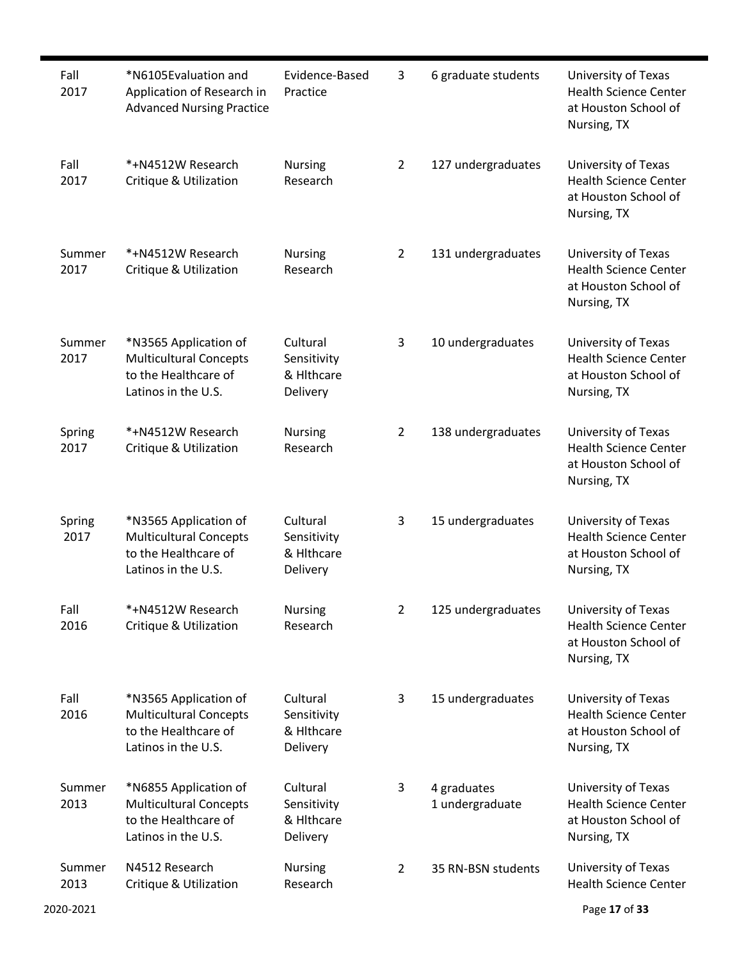| Fall<br>2017   | *N6105Evaluation and<br>Application of Research in<br><b>Advanced Nursing Practice</b>                | Evidence-Based<br>Practice                        | 3              | 6 graduate students            | University of Texas<br><b>Health Science Center</b><br>at Houston School of<br>Nursing, TX |
|----------------|-------------------------------------------------------------------------------------------------------|---------------------------------------------------|----------------|--------------------------------|--------------------------------------------------------------------------------------------|
| Fall<br>2017   | *+N4512W Research<br>Critique & Utilization                                                           | <b>Nursing</b><br>Research                        | 2              | 127 undergraduates             | University of Texas<br><b>Health Science Center</b><br>at Houston School of<br>Nursing, TX |
| Summer<br>2017 | *+N4512W Research<br>Critique & Utilization                                                           | <b>Nursing</b><br>Research                        | 2              | 131 undergraduates             | University of Texas<br><b>Health Science Center</b><br>at Houston School of<br>Nursing, TX |
| Summer<br>2017 | *N3565 Application of<br><b>Multicultural Concepts</b><br>to the Healthcare of<br>Latinos in the U.S. | Cultural<br>Sensitivity<br>& Hithcare<br>Delivery | 3              | 10 undergraduates              | University of Texas<br><b>Health Science Center</b><br>at Houston School of<br>Nursing, TX |
| Spring<br>2017 | *+N4512W Research<br>Critique & Utilization                                                           | <b>Nursing</b><br>Research                        | $\overline{2}$ | 138 undergraduates             | University of Texas<br><b>Health Science Center</b><br>at Houston School of<br>Nursing, TX |
| Spring<br>2017 | *N3565 Application of<br><b>Multicultural Concepts</b><br>to the Healthcare of<br>Latinos in the U.S. | Cultural<br>Sensitivity<br>& Hithcare<br>Delivery | 3              | 15 undergraduates              | University of Texas<br><b>Health Science Center</b><br>at Houston School of<br>Nursing, TX |
| Fall<br>2016   | *+N4512W Research<br><b>Critique &amp; Utilization</b>                                                | Nursing<br>Research                               | 2              | 125 undergraduates             | University of Texas<br><b>Health Science Center</b><br>at Houston School of<br>Nursing, TX |
| Fall<br>2016   | *N3565 Application of<br><b>Multicultural Concepts</b><br>to the Healthcare of<br>Latinos in the U.S. | Cultural<br>Sensitivity<br>& Hithcare<br>Delivery | 3              | 15 undergraduates              | University of Texas<br><b>Health Science Center</b><br>at Houston School of<br>Nursing, TX |
| Summer<br>2013 | *N6855 Application of<br><b>Multicultural Concepts</b><br>to the Healthcare of<br>Latinos in the U.S. | Cultural<br>Sensitivity<br>& Hithcare<br>Delivery | 3              | 4 graduates<br>1 undergraduate | University of Texas<br><b>Health Science Center</b><br>at Houston School of<br>Nursing, TX |
| Summer<br>2013 | N4512 Research<br>Critique & Utilization                                                              | Nursing<br>Research                               | $\overline{2}$ | 35 RN-BSN students             | University of Texas<br><b>Health Science Center</b>                                        |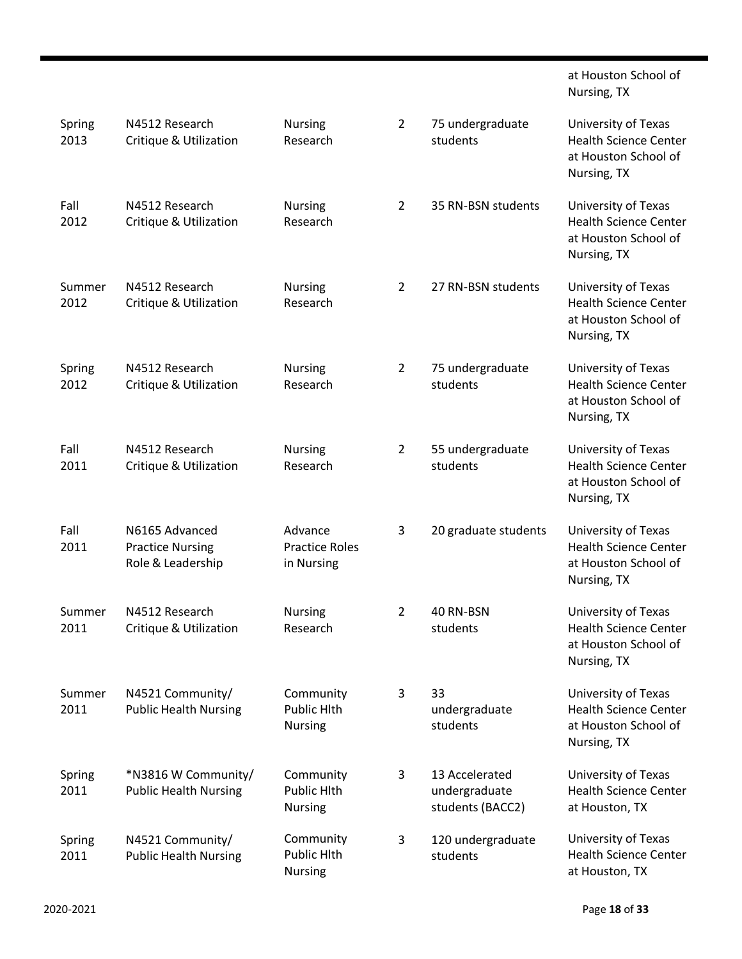|                |                                                                |                                                |                |                                                     | at Houston School of<br>Nursing, TX                                                        |
|----------------|----------------------------------------------------------------|------------------------------------------------|----------------|-----------------------------------------------------|--------------------------------------------------------------------------------------------|
| Spring<br>2013 | N4512 Research<br>Critique & Utilization                       | Nursing<br>Research                            | $\overline{2}$ | 75 undergraduate<br>students                        | University of Texas<br><b>Health Science Center</b><br>at Houston School of<br>Nursing, TX |
| Fall<br>2012   | N4512 Research<br>Critique & Utilization                       | <b>Nursing</b><br>Research                     | $\overline{2}$ | 35 RN-BSN students                                  | University of Texas<br><b>Health Science Center</b><br>at Houston School of<br>Nursing, TX |
| Summer<br>2012 | N4512 Research<br><b>Critique &amp; Utilization</b>            | Nursing<br>Research                            | $\overline{2}$ | 27 RN-BSN students                                  | University of Texas<br><b>Health Science Center</b><br>at Houston School of<br>Nursing, TX |
| Spring<br>2012 | N4512 Research<br>Critique & Utilization                       | <b>Nursing</b><br>Research                     | $\overline{2}$ | 75 undergraduate<br>students                        | University of Texas<br><b>Health Science Center</b><br>at Houston School of<br>Nursing, TX |
| Fall<br>2011   | N4512 Research<br>Critique & Utilization                       | Nursing<br>Research                            | $\overline{2}$ | 55 undergraduate<br>students                        | University of Texas<br><b>Health Science Center</b><br>at Houston School of<br>Nursing, TX |
| Fall<br>2011   | N6165 Advanced<br><b>Practice Nursing</b><br>Role & Leadership | Advance<br><b>Practice Roles</b><br>in Nursing | 3              | 20 graduate students                                | University of Texas<br><b>Health Science Center</b><br>at Houston School of<br>Nursing, TX |
| Summer<br>2011 | N4512 Research<br>Critique & Utilization                       | Nursing<br>Research                            | 2              | 40 RN-BSN<br>students                               | University of Texas<br><b>Health Science Center</b><br>at Houston School of<br>Nursing, TX |
| Summer<br>2011 | N4521 Community/<br><b>Public Health Nursing</b>               | Community<br>Public Hlth<br>Nursing            | 3              | 33<br>undergraduate<br>students                     | University of Texas<br><b>Health Science Center</b><br>at Houston School of<br>Nursing, TX |
| Spring<br>2011 | *N3816 W Community/<br><b>Public Health Nursing</b>            | Community<br>Public Hlth<br>Nursing            | 3              | 13 Accelerated<br>undergraduate<br>students (BACC2) | University of Texas<br><b>Health Science Center</b><br>at Houston, TX                      |
| Spring<br>2011 | N4521 Community/<br><b>Public Health Nursing</b>               | Community<br>Public Hlth<br>Nursing            | 3              | 120 undergraduate<br>students                       | University of Texas<br><b>Health Science Center</b><br>at Houston, TX                      |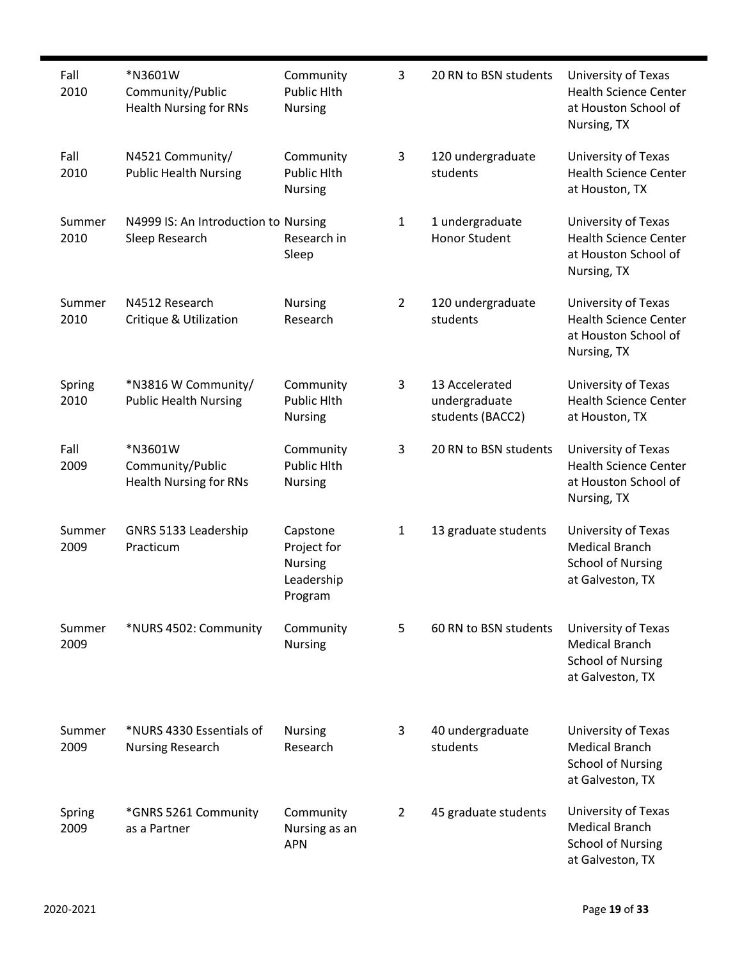| Fall<br>2010   | *N3601W<br>Community/Public<br><b>Health Nursing for RNs</b> | Community<br>Public Hlth<br><b>Nursing</b>                         | 3              | 20 RN to BSN students                               | University of Texas<br><b>Health Science Center</b><br>at Houston School of<br>Nursing, TX   |
|----------------|--------------------------------------------------------------|--------------------------------------------------------------------|----------------|-----------------------------------------------------|----------------------------------------------------------------------------------------------|
| Fall<br>2010   | N4521 Community/<br><b>Public Health Nursing</b>             | Community<br>Public Hlth<br><b>Nursing</b>                         | 3              | 120 undergraduate<br>students                       | University of Texas<br><b>Health Science Center</b><br>at Houston, TX                        |
| Summer<br>2010 | N4999 IS: An Introduction to Nursing<br>Sleep Research       | Research in<br>Sleep                                               | $\mathbf{1}$   | 1 undergraduate<br><b>Honor Student</b>             | University of Texas<br><b>Health Science Center</b><br>at Houston School of<br>Nursing, TX   |
| Summer<br>2010 | N4512 Research<br>Critique & Utilization                     | <b>Nursing</b><br>Research                                         | $\overline{2}$ | 120 undergraduate<br>students                       | University of Texas<br><b>Health Science Center</b><br>at Houston School of<br>Nursing, TX   |
| Spring<br>2010 | *N3816 W Community/<br><b>Public Health Nursing</b>          | Community<br><b>Public Hlth</b><br><b>Nursing</b>                  | 3              | 13 Accelerated<br>undergraduate<br>students (BACC2) | University of Texas<br><b>Health Science Center</b><br>at Houston, TX                        |
| Fall<br>2009   | *N3601W<br>Community/Public<br><b>Health Nursing for RNs</b> | Community<br><b>Public Hlth</b><br><b>Nursing</b>                  | 3              | 20 RN to BSN students                               | University of Texas<br><b>Health Science Center</b><br>at Houston School of<br>Nursing, TX   |
| Summer<br>2009 | GNRS 5133 Leadership<br>Practicum                            | Capstone<br>Project for<br><b>Nursing</b><br>Leadership<br>Program | 1              | 13 graduate students                                | University of Texas<br><b>Medical Branch</b><br><b>School of Nursing</b><br>at Galveston, TX |
| Summer<br>2009 | *NURS 4502: Community                                        | Community<br><b>Nursing</b>                                        | 5              | 60 RN to BSN students                               | University of Texas<br><b>Medical Branch</b><br><b>School of Nursing</b><br>at Galveston, TX |
| Summer<br>2009 | *NURS 4330 Essentials of<br><b>Nursing Research</b>          | <b>Nursing</b><br>Research                                         | 3              | 40 undergraduate<br>students                        | University of Texas<br><b>Medical Branch</b><br><b>School of Nursing</b><br>at Galveston, TX |
| Spring<br>2009 | *GNRS 5261 Community<br>as a Partner                         | Community<br>Nursing as an<br><b>APN</b>                           | 2              | 45 graduate students                                | University of Texas<br><b>Medical Branch</b><br><b>School of Nursing</b><br>at Galveston, TX |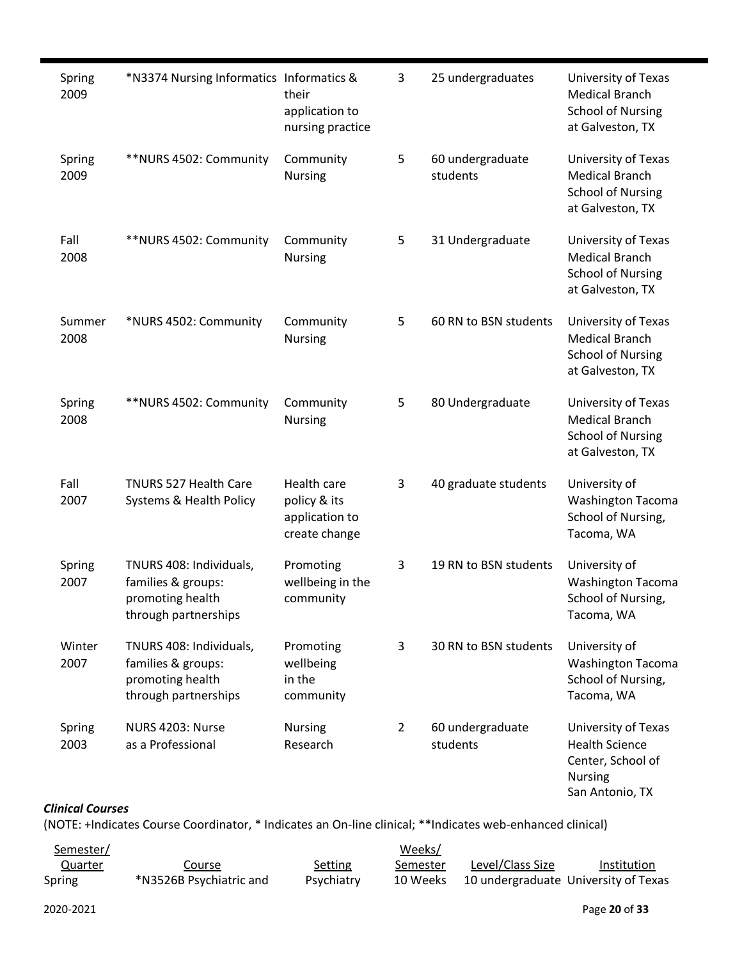| Spring<br>2009          | *N3374 Nursing Informatics Informatics &                                                  | their<br>application to<br>nursing practice                    | 3              | 25 undergraduates            | University of Texas<br><b>Medical Branch</b><br><b>School of Nursing</b><br>at Galveston, TX           |
|-------------------------|-------------------------------------------------------------------------------------------|----------------------------------------------------------------|----------------|------------------------------|--------------------------------------------------------------------------------------------------------|
| Spring<br>2009          | **NURS 4502: Community                                                                    | Community<br>Nursing                                           | 5              | 60 undergraduate<br>students | University of Texas<br><b>Medical Branch</b><br><b>School of Nursing</b><br>at Galveston, TX           |
| Fall<br>2008            | **NURS 4502: Community                                                                    | Community<br>Nursing                                           | 5              | 31 Undergraduate             | University of Texas<br><b>Medical Branch</b><br><b>School of Nursing</b><br>at Galveston, TX           |
| Summer<br>2008          | *NURS 4502: Community                                                                     | Community<br>Nursing                                           | 5              | 60 RN to BSN students        | University of Texas<br><b>Medical Branch</b><br><b>School of Nursing</b><br>at Galveston, TX           |
| Spring<br>2008          | **NURS 4502: Community                                                                    | Community<br>Nursing                                           | 5              | 80 Undergraduate             | University of Texas<br><b>Medical Branch</b><br><b>School of Nursing</b><br>at Galveston, TX           |
| Fall<br>2007            | TNURS 527 Health Care<br>Systems & Health Policy                                          | Health care<br>policy & its<br>application to<br>create change | 3              | 40 graduate students         | University of<br><b>Washington Tacoma</b><br>School of Nursing,<br>Tacoma, WA                          |
| Spring<br>2007          | TNURS 408: Individuals,<br>families & groups:<br>promoting health<br>through partnerships | Promoting<br>wellbeing in the<br>community                     | 3              | 19 RN to BSN students        | University of<br><b>Washington Tacoma</b><br>School of Nursing,<br>Tacoma, WA                          |
| Winter<br>2007          | TNURS 408: Individuals,<br>families & groups:<br>promoting health<br>through partnerships | Promoting<br>wellbeing<br>in the<br>community                  | 3              | 30 RN to BSN students        | University of<br><b>Washington Tacoma</b><br>School of Nursing,<br>Tacoma, WA                          |
| Spring<br>2003          | NURS 4203: Nurse<br>as a Professional                                                     | <b>Nursing</b><br>Research                                     | $\overline{2}$ | 60 undergraduate<br>students | University of Texas<br><b>Health Science</b><br>Center, School of<br><b>Nursing</b><br>San Antonio, TX |
| <b>Clinical Courses</b> |                                                                                           |                                                                |                |                              |                                                                                                        |

(NOTE: +Indicates Course Coordinator, \* Indicates an On-line clinical; \*\*Indicates web-enhanced clinical)

| Semester/      |                         |            | Weeks/   |                                      |             |
|----------------|-------------------------|------------|----------|--------------------------------------|-------------|
| <u>Quarter</u> | Course                  | Setting    | Semester | Level/Class Size                     | Institution |
| Spring         | *N3526B Psychiatric and | Psychiatry | 10 Weeks | 10 undergraduate University of Texas |             |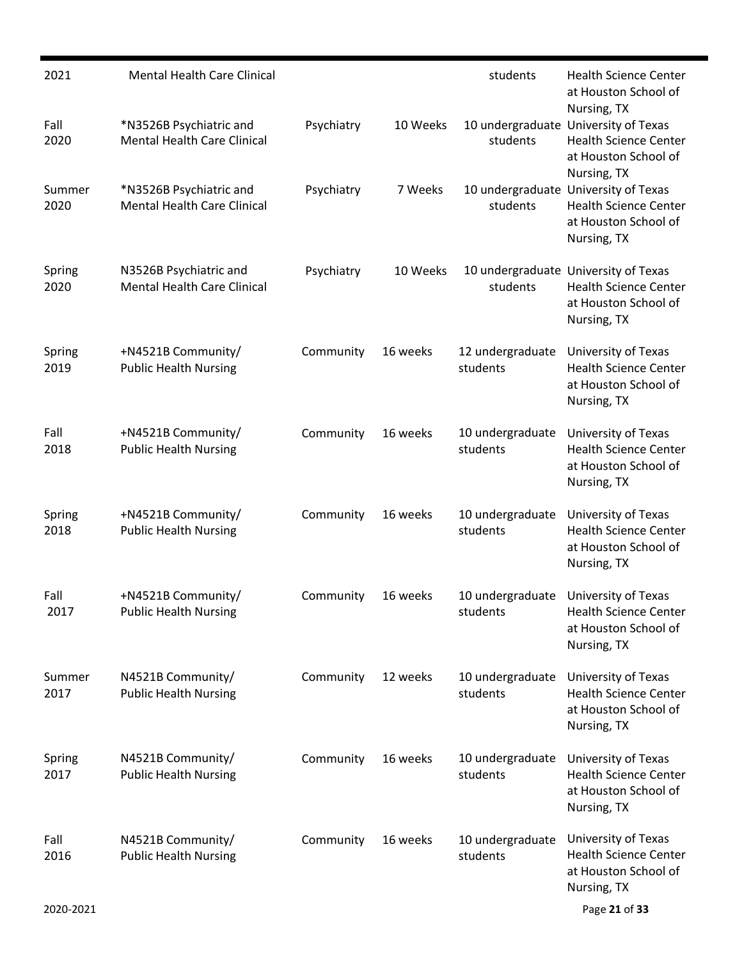| 2021           | <b>Mental Health Care Clinical</b>                            |            |          | students                     | <b>Health Science Center</b><br>at Houston School of<br>Nursing, TX                                         |
|----------------|---------------------------------------------------------------|------------|----------|------------------------------|-------------------------------------------------------------------------------------------------------------|
| Fall<br>2020   | *N3526B Psychiatric and<br><b>Mental Health Care Clinical</b> | Psychiatry | 10 Weeks | students                     | 10 undergraduate University of Texas<br><b>Health Science Center</b><br>at Houston School of<br>Nursing, TX |
| Summer<br>2020 | *N3526B Psychiatric and<br><b>Mental Health Care Clinical</b> | Psychiatry | 7 Weeks  | students                     | 10 undergraduate University of Texas<br><b>Health Science Center</b><br>at Houston School of<br>Nursing, TX |
| Spring<br>2020 | N3526B Psychiatric and<br><b>Mental Health Care Clinical</b>  | Psychiatry | 10 Weeks | students                     | 10 undergraduate University of Texas<br><b>Health Science Center</b><br>at Houston School of<br>Nursing, TX |
| Spring<br>2019 | +N4521B Community/<br><b>Public Health Nursing</b>            | Community  | 16 weeks | 12 undergraduate<br>students | University of Texas<br><b>Health Science Center</b><br>at Houston School of<br>Nursing, TX                  |
| Fall<br>2018   | +N4521B Community/<br><b>Public Health Nursing</b>            | Community  | 16 weeks | 10 undergraduate<br>students | University of Texas<br><b>Health Science Center</b><br>at Houston School of<br>Nursing, TX                  |
| Spring<br>2018 | +N4521B Community/<br><b>Public Health Nursing</b>            | Community  | 16 weeks | 10 undergraduate<br>students | University of Texas<br><b>Health Science Center</b><br>at Houston School of<br>Nursing, TX                  |
| Fall<br>2017   | +N4521B Community/<br><b>Public Health Nursing</b>            | Community  | 16 weeks | 10 undergraduate<br>students | University of Texas<br><b>Health Science Center</b><br>at Houston School of<br>Nursing, TX                  |
| Summer<br>2017 | N4521B Community/<br><b>Public Health Nursing</b>             | Community  | 12 weeks | 10 undergraduate<br>students | University of Texas<br><b>Health Science Center</b><br>at Houston School of<br>Nursing, TX                  |
| Spring<br>2017 | N4521B Community/<br><b>Public Health Nursing</b>             | Community  | 16 weeks | 10 undergraduate<br>students | University of Texas<br><b>Health Science Center</b><br>at Houston School of<br>Nursing, TX                  |
| Fall<br>2016   | N4521B Community/<br><b>Public Health Nursing</b>             | Community  | 16 weeks | 10 undergraduate<br>students | University of Texas<br><b>Health Science Center</b><br>at Houston School of<br>Nursing, TX                  |
| 2020-2021      |                                                               |            |          |                              | Page 21 of 33                                                                                               |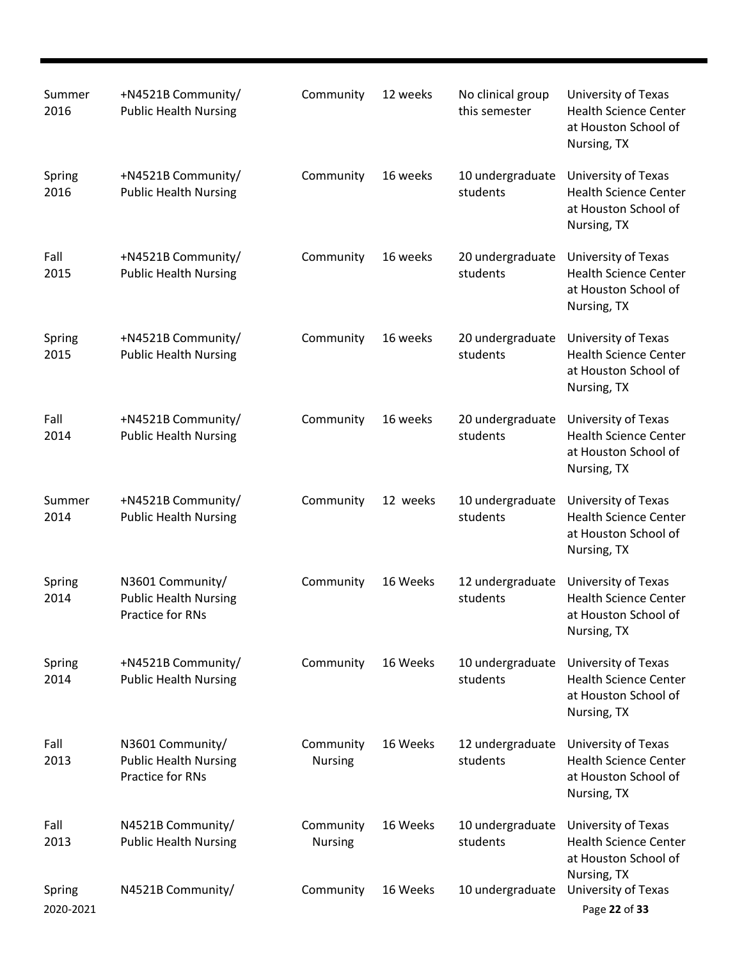| Summer<br>2016      | +N4521B Community/<br><b>Public Health Nursing</b>                   | Community                   | 12 weeks | No clinical group<br>this semester | University of Texas<br><b>Health Science Center</b><br>at Houston School of<br>Nursing, TX |
|---------------------|----------------------------------------------------------------------|-----------------------------|----------|------------------------------------|--------------------------------------------------------------------------------------------|
| Spring<br>2016      | +N4521B Community/<br><b>Public Health Nursing</b>                   | Community                   | 16 weeks | 10 undergraduate<br>students       | University of Texas<br><b>Health Science Center</b><br>at Houston School of<br>Nursing, TX |
| Fall<br>2015        | +N4521B Community/<br><b>Public Health Nursing</b>                   | Community                   | 16 weeks | 20 undergraduate<br>students       | University of Texas<br><b>Health Science Center</b><br>at Houston School of<br>Nursing, TX |
| Spring<br>2015      | +N4521B Community/<br><b>Public Health Nursing</b>                   | Community                   | 16 weeks | 20 undergraduate<br>students       | University of Texas<br><b>Health Science Center</b><br>at Houston School of<br>Nursing, TX |
| Fall<br>2014        | +N4521B Community/<br><b>Public Health Nursing</b>                   | Community                   | 16 weeks | 20 undergraduate<br>students       | University of Texas<br><b>Health Science Center</b><br>at Houston School of<br>Nursing, TX |
| Summer<br>2014      | +N4521B Community/<br><b>Public Health Nursing</b>                   | Community                   | 12 weeks | 10 undergraduate<br>students       | University of Texas<br><b>Health Science Center</b><br>at Houston School of<br>Nursing, TX |
| Spring<br>2014      | N3601 Community/<br><b>Public Health Nursing</b><br>Practice for RNs | Community                   | 16 Weeks | 12 undergraduate<br>students       | University of Texas<br><b>Health Science Center</b><br>at Houston School of<br>Nursing, TX |
| Spring<br>2014      | +N4521B Community/<br><b>Public Health Nursing</b>                   | Community                   | 16 Weeks | 10 undergraduate<br>students       | University of Texas<br><b>Health Science Center</b><br>at Houston School of<br>Nursing, TX |
| Fall<br>2013        | N3601 Community/<br><b>Public Health Nursing</b><br>Practice for RNs | Community<br><b>Nursing</b> | 16 Weeks | 12 undergraduate<br>students       | University of Texas<br><b>Health Science Center</b><br>at Houston School of<br>Nursing, TX |
| Fall<br>2013        | N4521B Community/<br><b>Public Health Nursing</b>                    | Community<br><b>Nursing</b> | 16 Weeks | 10 undergraduate<br>students       | University of Texas<br><b>Health Science Center</b><br>at Houston School of<br>Nursing, TX |
| Spring<br>2020-2021 | N4521B Community/                                                    | Community                   | 16 Weeks | 10 undergraduate                   | University of Texas<br>Page 22 of 33                                                       |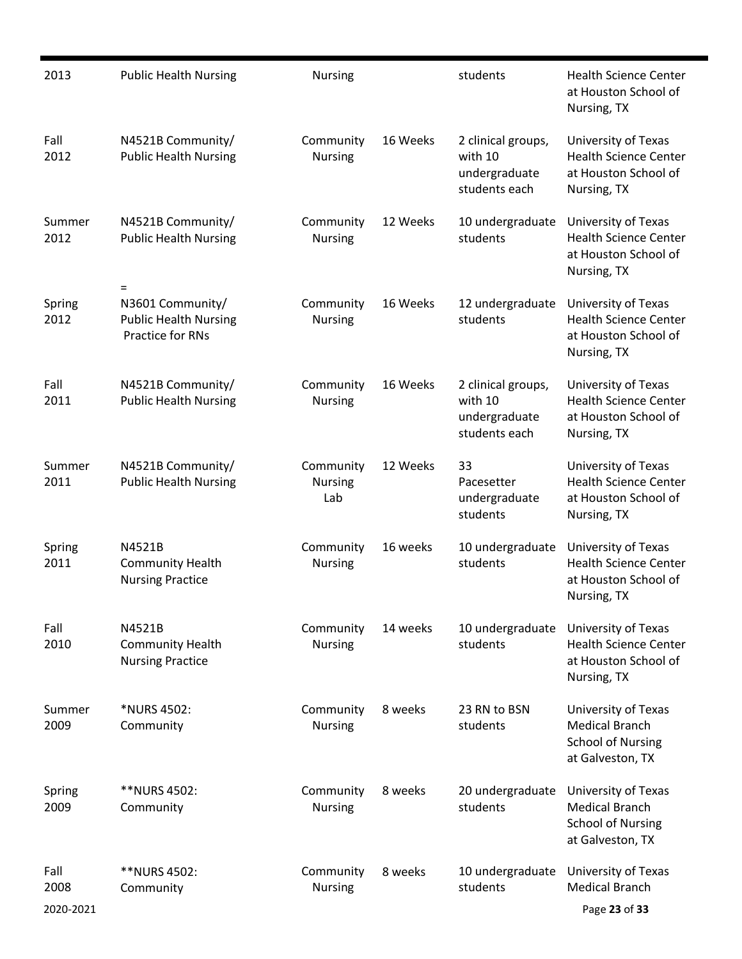| 2013                      | <b>Public Health Nursing</b>                                                       | Nursing                            |          | students                                                        | <b>Health Science Center</b><br>at Houston School of<br>Nursing, TX                          |
|---------------------------|------------------------------------------------------------------------------------|------------------------------------|----------|-----------------------------------------------------------------|----------------------------------------------------------------------------------------------|
| Fall<br>2012              | N4521B Community/<br><b>Public Health Nursing</b>                                  | Community<br><b>Nursing</b>        | 16 Weeks | 2 clinical groups,<br>with 10<br>undergraduate<br>students each | University of Texas<br><b>Health Science Center</b><br>at Houston School of<br>Nursing, TX   |
| Summer<br>2012            | N4521B Community/<br><b>Public Health Nursing</b>                                  | Community<br><b>Nursing</b>        | 12 Weeks | 10 undergraduate<br>students                                    | University of Texas<br><b>Health Science Center</b><br>at Houston School of<br>Nursing, TX   |
| Spring<br>2012            | $=$<br>N3601 Community/<br><b>Public Health Nursing</b><br><b>Practice for RNs</b> | Community<br><b>Nursing</b>        | 16 Weeks | 12 undergraduate<br>students                                    | University of Texas<br><b>Health Science Center</b><br>at Houston School of<br>Nursing, TX   |
| Fall<br>2011              | N4521B Community/<br><b>Public Health Nursing</b>                                  | Community<br><b>Nursing</b>        | 16 Weeks | 2 clinical groups,<br>with 10<br>undergraduate<br>students each | University of Texas<br><b>Health Science Center</b><br>at Houston School of<br>Nursing, TX   |
| Summer<br>2011            | N4521B Community/<br><b>Public Health Nursing</b>                                  | Community<br><b>Nursing</b><br>Lab | 12 Weeks | 33<br>Pacesetter<br>undergraduate<br>students                   | University of Texas<br><b>Health Science Center</b><br>at Houston School of<br>Nursing, TX   |
| Spring<br>2011            | N4521B<br><b>Community Health</b><br><b>Nursing Practice</b>                       | Community<br><b>Nursing</b>        | 16 weeks | 10 undergraduate<br>students                                    | University of Texas<br><b>Health Science Center</b><br>at Houston School of<br>Nursing, TX   |
| Fall<br>2010              | N4521B<br><b>Community Health</b><br><b>Nursing Practice</b>                       | Community<br><b>Nursing</b>        | 14 weeks | 10 undergraduate<br>students                                    | University of Texas<br><b>Health Science Center</b><br>at Houston School of<br>Nursing, TX   |
| Summer<br>2009            | *NURS 4502:<br>Community                                                           | Community<br><b>Nursing</b>        | 8 weeks  | 23 RN to BSN<br>students                                        | University of Texas<br><b>Medical Branch</b><br><b>School of Nursing</b><br>at Galveston, TX |
| Spring<br>2009            | **NURS 4502:<br>Community                                                          | Community<br><b>Nursing</b>        | 8 weeks  | 20 undergraduate<br>students                                    | University of Texas<br><b>Medical Branch</b><br><b>School of Nursing</b><br>at Galveston, TX |
| Fall<br>2008<br>2020-2021 | **NURS 4502:<br>Community                                                          | Community<br><b>Nursing</b>        | 8 weeks  | 10 undergraduate<br>students                                    | University of Texas<br><b>Medical Branch</b><br>Page 23 of 33                                |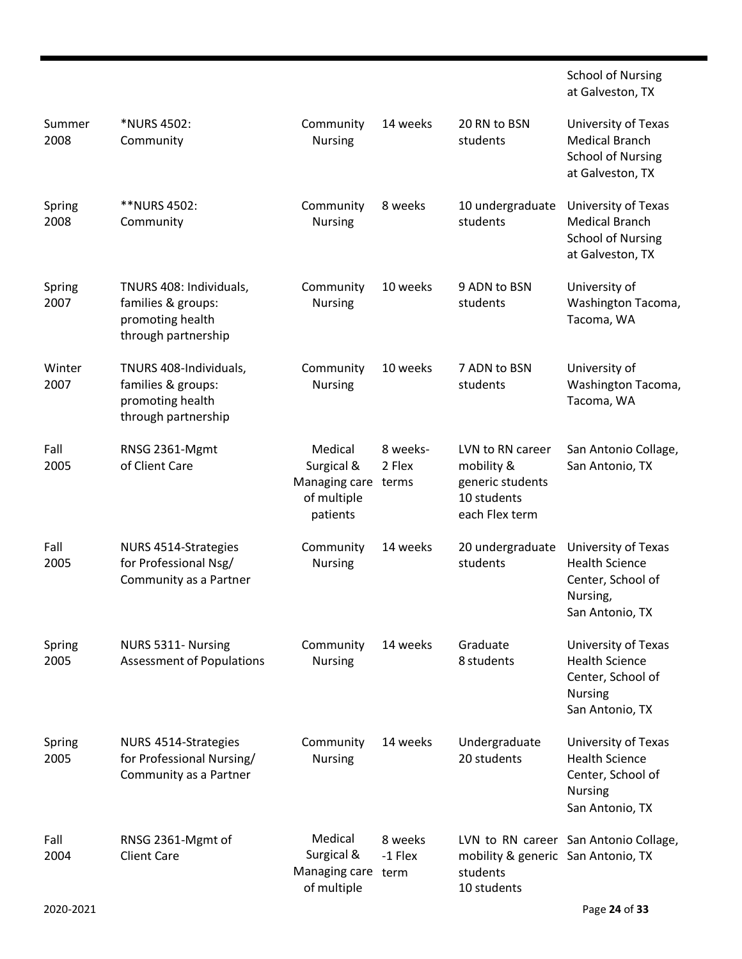|                |                                                                                          |                                                                   |                             |                                                                                     | <b>School of Nursing</b><br>at Galveston, TX                                                           |
|----------------|------------------------------------------------------------------------------------------|-------------------------------------------------------------------|-----------------------------|-------------------------------------------------------------------------------------|--------------------------------------------------------------------------------------------------------|
| Summer<br>2008 | *NURS 4502:<br>Community                                                                 | Community<br><b>Nursing</b>                                       | 14 weeks                    | 20 RN to BSN<br>students                                                            | University of Texas<br><b>Medical Branch</b><br><b>School of Nursing</b><br>at Galveston, TX           |
| Spring<br>2008 | **NURS 4502:<br>Community                                                                | Community<br><b>Nursing</b>                                       | 8 weeks                     | 10 undergraduate<br>students                                                        | University of Texas<br><b>Medical Branch</b><br><b>School of Nursing</b><br>at Galveston, TX           |
| Spring<br>2007 | TNURS 408: Individuals,<br>families & groups:<br>promoting health<br>through partnership | Community<br><b>Nursing</b>                                       | 10 weeks                    | 9 ADN to BSN<br>students                                                            | University of<br>Washington Tacoma,<br>Tacoma, WA                                                      |
| Winter<br>2007 | TNURS 408-Individuals,<br>families & groups:<br>promoting health<br>through partnership  | Community<br><b>Nursing</b>                                       | 10 weeks                    | 7 ADN to BSN<br>students                                                            | University of<br>Washington Tacoma,<br>Tacoma, WA                                                      |
| Fall<br>2005   | RNSG 2361-Mgmt<br>of Client Care                                                         | Medical<br>Surgical &<br>Managing care<br>of multiple<br>patients | 8 weeks-<br>2 Flex<br>terms | LVN to RN career<br>mobility &<br>generic students<br>10 students<br>each Flex term | San Antonio Collage,<br>San Antonio, TX                                                                |
| Fall<br>2005   | NURS 4514-Strategies<br>for Professional Nsg/<br>Community as a Partner                  | Community<br><b>Nursing</b>                                       | 14 weeks                    | 20 undergraduate<br>students                                                        | University of Texas<br><b>Health Science</b><br>Center, School of<br>Nursing,<br>San Antonio, TX       |
| Spring<br>2005 | NURS 5311- Nursing<br><b>Assessment of Populations</b>                                   | Community<br><b>Nursing</b>                                       | 14 weeks                    | Graduate<br>8 students                                                              | University of Texas<br><b>Health Science</b><br>Center, School of<br><b>Nursing</b><br>San Antonio, TX |
| Spring<br>2005 | NURS 4514-Strategies<br>for Professional Nursing/<br>Community as a Partner              | Community<br><b>Nursing</b>                                       | 14 weeks                    | Undergraduate<br>20 students                                                        | University of Texas<br><b>Health Science</b><br>Center, School of<br><b>Nursing</b><br>San Antonio, TX |
| Fall<br>2004   | RNSG 2361-Mgmt of<br><b>Client Care</b>                                                  | Medical<br>Surgical &<br>Managing care<br>of multiple             | 8 weeks<br>-1 Flex<br>term  | mobility & generic San Antonio, TX<br>students<br>10 students                       | LVN to RN career San Antonio Collage,                                                                  |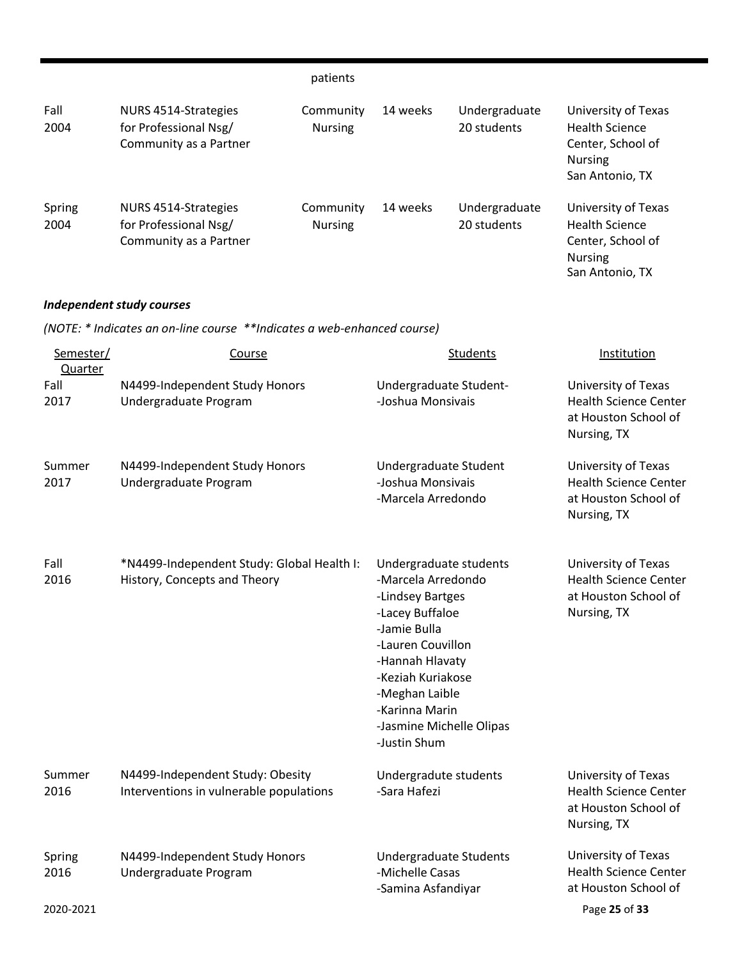|                      |                                                                            | patients                    |                                                                  |                              |                                                                                                        |  |
|----------------------|----------------------------------------------------------------------------|-----------------------------|------------------------------------------------------------------|------------------------------|--------------------------------------------------------------------------------------------------------|--|
| Fall<br>2004         | NURS 4514-Strategies<br>for Professional Nsg/<br>Community as a Partner    | Community<br><b>Nursing</b> | 14 weeks                                                         | Undergraduate<br>20 students | University of Texas<br><b>Health Science</b><br>Center, School of<br><b>Nursing</b><br>San Antonio, TX |  |
| Spring<br>2004       | NURS 4514-Strategies<br>for Professional Nsg/<br>Community as a Partner    | Community<br><b>Nursing</b> | 14 weeks                                                         | Undergraduate<br>20 students | University of Texas<br><b>Health Science</b><br>Center, School of<br><b>Nursing</b><br>San Antonio, TX |  |
|                      | <b>Independent study courses</b>                                           |                             |                                                                  |                              |                                                                                                        |  |
|                      | (NOTE: * Indicates an on-line course **Indicates a web-enhanced course)    |                             |                                                                  |                              |                                                                                                        |  |
| Semester/<br>Quarter | Course                                                                     |                             |                                                                  | <b>Students</b>              | Institution                                                                                            |  |
| Fall<br>2017         | N4499-Independent Study Honors<br>Undergraduate Program                    |                             | Undergraduate Student-<br>-Joshua Monsivais                      |                              | University of Texas<br><b>Health Science Center</b><br>at Houston School of<br>Nursing, TX             |  |
| Summer<br>2017       | N4499-Independent Study Honors<br>Undergraduate Program                    |                             | Undergraduate Student<br>-Joshua Monsivais<br>-Marcela Arredondo |                              | University of Texas<br><b>Health Science Center</b><br>at Houston School of<br>Nursing, TX             |  |
| Fall<br>2016         | *N4499-Independent Study: Global Health I:<br>History, Concepts and Theory |                             | Undergraduate students<br>-Marcela Arredondo<br>-Lindsey Bartges |                              | University of Texas<br><b>Health Science Center</b><br>at Houston School of                            |  |

|                |                                                                             | -Hannah Hlavaty<br>-Keziah Kuriakose<br>-Meghan Laible<br>-Karinna Marin<br>-Jasmine Michelle Olipas<br>-Justin Shum |                                                                                            |
|----------------|-----------------------------------------------------------------------------|----------------------------------------------------------------------------------------------------------------------|--------------------------------------------------------------------------------------------|
| Summer<br>2016 | N4499-Independent Study: Obesity<br>Interventions in vulnerable populations | Undergradute students<br>-Sara Hafezi                                                                                | University of Texas<br><b>Health Science Center</b><br>at Houston School of<br>Nursing, TX |
| Spring<br>2016 | N4499-Independent Study Honors<br>Undergraduate Program                     | <b>Undergraduate Students</b><br>-Michelle Casas<br>-Samina Asfandiyar                                               | University of Texas<br><b>Health Science Center</b><br>at Houston School of                |
| 2020-2021      |                                                                             |                                                                                                                      | Page 25 of 33                                                                              |

-Lacey Buffaloe -Jamie Bulla -Lauren Couvillon Nursing, TX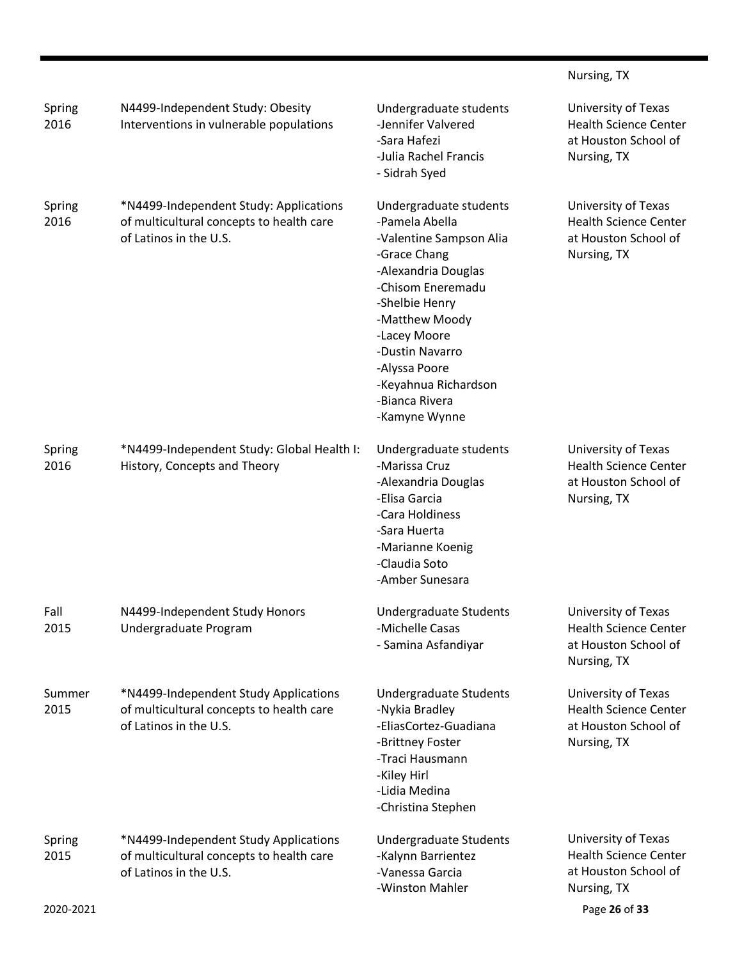|                |                                                                                                              |                                                                                                                                                                                                                                                                                    | Nursing, TX                                                                                |
|----------------|--------------------------------------------------------------------------------------------------------------|------------------------------------------------------------------------------------------------------------------------------------------------------------------------------------------------------------------------------------------------------------------------------------|--------------------------------------------------------------------------------------------|
| Spring<br>2016 | N4499-Independent Study: Obesity<br>Interventions in vulnerable populations                                  | Undergraduate students<br>-Jennifer Valvered<br>-Sara Hafezi<br>-Julia Rachel Francis<br>- Sidrah Syed                                                                                                                                                                             | University of Texas<br><b>Health Science Center</b><br>at Houston School of<br>Nursing, TX |
| Spring<br>2016 | *N4499-Independent Study: Applications<br>of multicultural concepts to health care<br>of Latinos in the U.S. | Undergraduate students<br>-Pamela Abella<br>-Valentine Sampson Alia<br>-Grace Chang<br>-Alexandria Douglas<br>-Chisom Eneremadu<br>-Shelbie Henry<br>-Matthew Moody<br>-Lacey Moore<br>-Dustin Navarro<br>-Alyssa Poore<br>-Keyahnua Richardson<br>-Bianca Rivera<br>-Kamyne Wynne | University of Texas<br><b>Health Science Center</b><br>at Houston School of<br>Nursing, TX |
| Spring<br>2016 | *N4499-Independent Study: Global Health I:<br>History, Concepts and Theory                                   | Undergraduate students<br>-Marissa Cruz<br>-Alexandria Douglas<br>-Elisa Garcia<br>-Cara Holdiness<br>-Sara Huerta<br>-Marianne Koenig<br>-Claudia Soto<br>-Amber Sunesara                                                                                                         | University of Texas<br><b>Health Science Center</b><br>at Houston School of<br>Nursing, TX |
| Fall<br>2015   | N4499-Independent Study Honors<br>Undergraduate Program                                                      | Undergraduate Students<br>-Michelle Casas<br>- Samina Asfandiyar                                                                                                                                                                                                                   | University of Texas<br><b>Health Science Center</b><br>at Houston School of<br>Nursing, TX |
| Summer<br>2015 | *N4499-Independent Study Applications<br>of multicultural concepts to health care<br>of Latinos in the U.S.  | Undergraduate Students<br>-Nykia Bradley<br>-EliasCortez-Guadiana<br>-Brittney Foster<br>-Traci Hausmann<br>-Kiley Hirl<br>-Lidia Medina<br>-Christina Stephen                                                                                                                     | University of Texas<br><b>Health Science Center</b><br>at Houston School of<br>Nursing, TX |
| Spring<br>2015 | *N4499-Independent Study Applications<br>of multicultural concepts to health care<br>of Latinos in the U.S.  | Undergraduate Students<br>-Kalynn Barrientez<br>-Vanessa Garcia<br>-Winston Mahler                                                                                                                                                                                                 | University of Texas<br><b>Health Science Center</b><br>at Houston School of<br>Nursing, TX |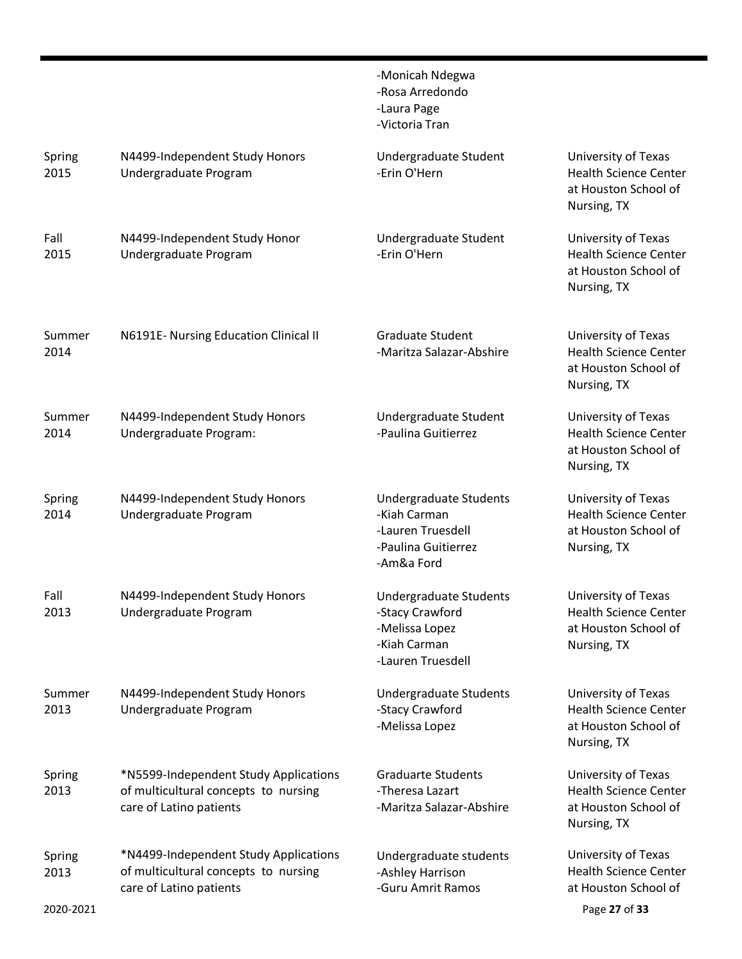|                             |                                                                                                          | -Monicah Ndegwa<br>-Rosa Arredondo<br>-Laura Page<br>-Victoria Tran                              |                                                                                              |
|-----------------------------|----------------------------------------------------------------------------------------------------------|--------------------------------------------------------------------------------------------------|----------------------------------------------------------------------------------------------|
| Spring<br>2015              | N4499-Independent Study Honors<br>Undergraduate Program                                                  | Undergraduate Student<br>-Erin O'Hern                                                            | University of Texas<br><b>Health Science Center</b><br>at Houston School of<br>Nursing, TX   |
| Fall<br>2015                | N4499-Independent Study Honor<br>Undergraduate Program                                                   | Undergraduate Student<br>-Erin O'Hern                                                            | University of Texas<br><b>Health Science Center</b><br>at Houston School of<br>Nursing, TX   |
| Summer<br>2014              | N6191E- Nursing Education Clinical II                                                                    | <b>Graduate Student</b><br>-Maritza Salazar-Abshire                                              | University of Texas<br><b>Health Science Center</b><br>at Houston School of<br>Nursing, TX   |
| Summer<br>2014              | N4499-Independent Study Honors<br>Undergraduate Program:                                                 | Undergraduate Student<br>-Paulina Guitierrez                                                     | University of Texas<br><b>Health Science Center</b><br>at Houston School of<br>Nursing, TX   |
| Spring<br>2014              | N4499-Independent Study Honors<br>Undergraduate Program                                                  | Undergraduate Students<br>-Kiah Carman<br>-Lauren Truesdell<br>-Paulina Guitierrez<br>-Am&a Ford | University of Texas<br><b>Health Science Center</b><br>at Houston School of<br>Nursing, TX   |
| Fall<br>2013                | N4499-Independent Study Honors<br>Undergraduate Program                                                  | Undergraduate Students<br>-Stacy Crawford<br>-Melissa Lopez<br>-Kiah Carman<br>-Lauren Truesdell | University of Texas<br><b>Health Science Center</b><br>at Houston School of<br>Nursing, TX   |
| Summer<br>2013              | N4499-Independent Study Honors<br>Undergraduate Program                                                  | Undergraduate Students<br>-Stacy Crawford<br>-Melissa Lopez                                      | University of Texas<br><b>Health Science Center</b><br>at Houston School of<br>Nursing, TX   |
| Spring<br>2013              | *N5599-Independent Study Applications<br>of multicultural concepts to nursing<br>care of Latino patients | <b>Graduarte Students</b><br>-Theresa Lazart<br>-Maritza Salazar-Abshire                         | University of Texas<br><b>Health Science Center</b><br>at Houston School of<br>Nursing, TX   |
| Spring<br>2013<br>2020-2021 | *N4499-Independent Study Applications<br>of multicultural concepts to nursing<br>care of Latino patients | Undergraduate students<br>-Ashley Harrison<br>-Guru Amrit Ramos                                  | University of Texas<br><b>Health Science Center</b><br>at Houston School of<br>Page 27 of 33 |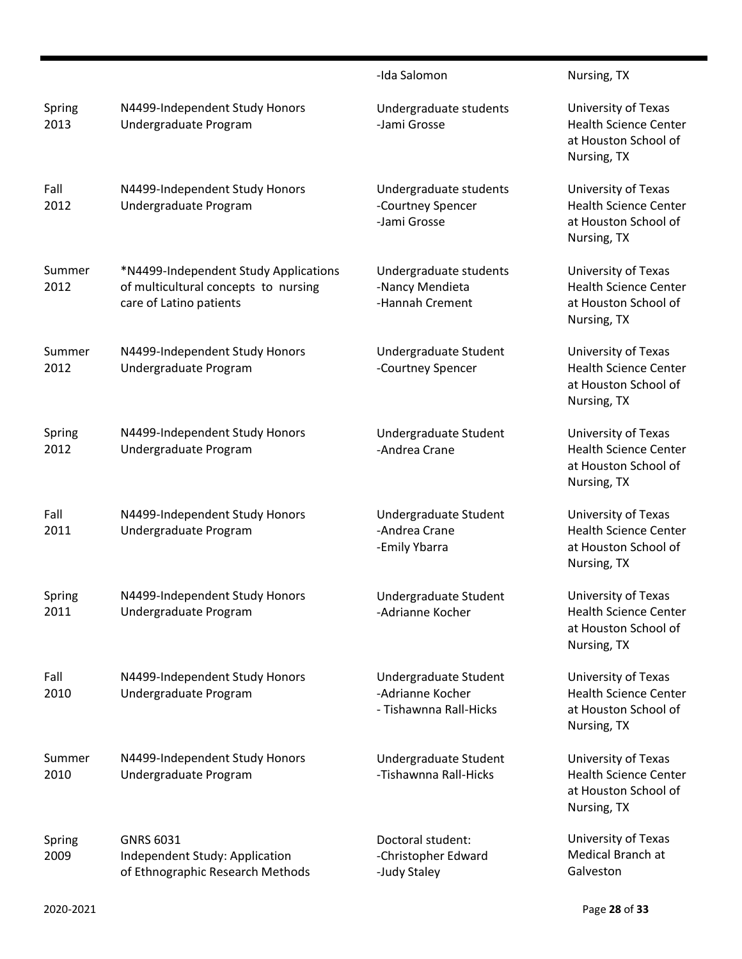|                |                                                                                                          | -Ida Salomon                                                        | Nursing, TX                                                                                |
|----------------|----------------------------------------------------------------------------------------------------------|---------------------------------------------------------------------|--------------------------------------------------------------------------------------------|
| Spring<br>2013 | N4499-Independent Study Honors<br>Undergraduate Program                                                  | Undergraduate students<br>-Jami Grosse                              | University of Texas<br><b>Health Science Center</b><br>at Houston School of<br>Nursing, TX |
| Fall<br>2012   | N4499-Independent Study Honors<br>Undergraduate Program                                                  | Undergraduate students<br>-Courtney Spencer<br>-Jami Grosse         | University of Texas<br><b>Health Science Center</b><br>at Houston School of<br>Nursing, TX |
| Summer<br>2012 | *N4499-Independent Study Applications<br>of multicultural concepts to nursing<br>care of Latino patients | Undergraduate students<br>-Nancy Mendieta<br>-Hannah Crement        | University of Texas<br><b>Health Science Center</b><br>at Houston School of<br>Nursing, TX |
| Summer<br>2012 | N4499-Independent Study Honors<br>Undergraduate Program                                                  | Undergraduate Student<br>-Courtney Spencer                          | University of Texas<br><b>Health Science Center</b><br>at Houston School of<br>Nursing, TX |
| Spring<br>2012 | N4499-Independent Study Honors<br>Undergraduate Program                                                  | Undergraduate Student<br>-Andrea Crane                              | University of Texas<br><b>Health Science Center</b><br>at Houston School of<br>Nursing, TX |
| Fall<br>2011   | N4499-Independent Study Honors<br>Undergraduate Program                                                  | Undergraduate Student<br>-Andrea Crane<br>-Emily Ybarra             | University of Texas<br><b>Health Science Center</b><br>at Houston School of<br>Nursing, TX |
| Spring<br>2011 | N4499-Independent Study Honors<br>Undergraduate Program                                                  | Undergraduate Student<br>-Adrianne Kocher                           | University of Texas<br><b>Health Science Center</b><br>at Houston School of<br>Nursing, TX |
| Fall<br>2010   | N4499-Independent Study Honors<br>Undergraduate Program                                                  | Undergraduate Student<br>-Adrianne Kocher<br>- Tishawnna Rall-Hicks | University of Texas<br><b>Health Science Center</b><br>at Houston School of<br>Nursing, TX |
| Summer<br>2010 | N4499-Independent Study Honors<br>Undergraduate Program                                                  | Undergraduate Student<br>-Tishawnna Rall-Hicks                      | University of Texas<br><b>Health Science Center</b><br>at Houston School of<br>Nursing, TX |
| Spring<br>2009 | <b>GNRS 6031</b><br>Independent Study: Application<br>of Ethnographic Research Methods                   | Doctoral student:<br>-Christopher Edward<br>-Judy Staley            | University of Texas<br>Medical Branch at<br>Galveston                                      |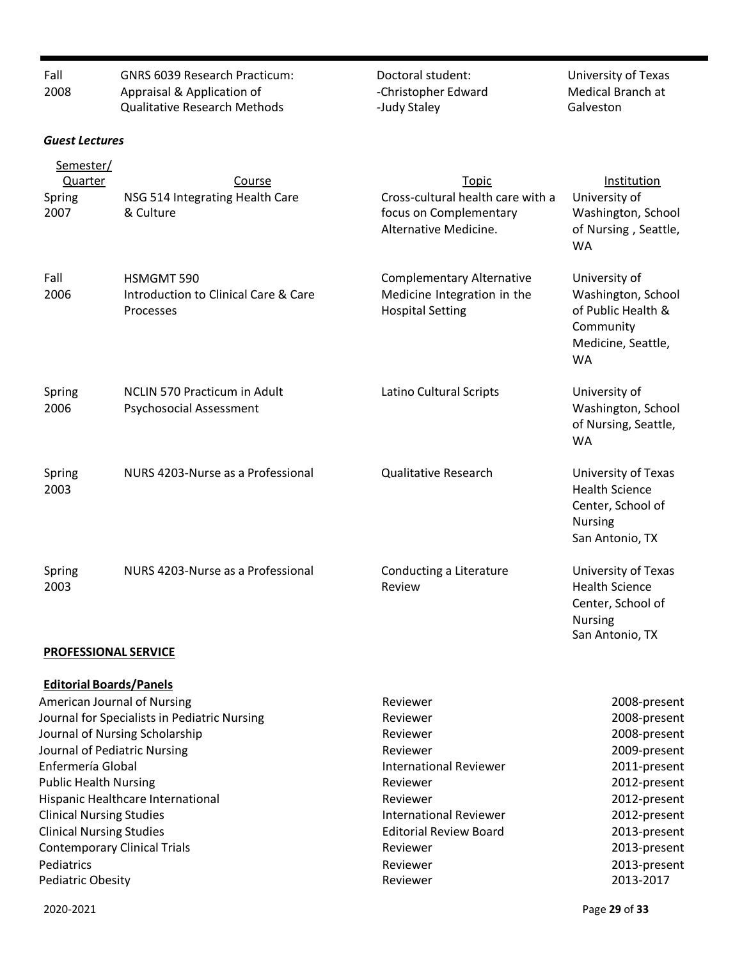| Fall<br>2008                                                         | <b>GNRS 6039 Research Practicum:</b><br>Appraisal & Application of<br><b>Qualitative Research Methods</b> | Doctoral student:<br>-Christopher Edward<br>-Judy Staley                                             | University of Texas<br>Medical Branch at<br>Galveston                                                     |
|----------------------------------------------------------------------|-----------------------------------------------------------------------------------------------------------|------------------------------------------------------------------------------------------------------|-----------------------------------------------------------------------------------------------------------|
| <b>Guest Lectures</b>                                                |                                                                                                           |                                                                                                      |                                                                                                           |
| Semester/<br><b>Quarter</b><br>Spring<br>2007                        | <b>Course</b><br>NSG 514 Integrating Health Care<br>& Culture                                             | <b>Topic</b><br>Cross-cultural health care with a<br>focus on Complementary<br>Alternative Medicine. | Institution<br>University of<br>Washington, School<br>of Nursing, Seattle,<br><b>WA</b>                   |
| Fall<br>2006                                                         | HSMGMT 590<br>Introduction to Clinical Care & Care<br>Processes                                           | <b>Complementary Alternative</b><br>Medicine Integration in the<br><b>Hospital Setting</b>           | University of<br>Washington, School<br>of Public Health &<br>Community<br>Medicine, Seattle,<br><b>WA</b> |
| Spring<br>2006                                                       | <b>NCLIN 570 Practicum in Adult</b><br>Psychosocial Assessment                                            | Latino Cultural Scripts                                                                              | University of<br>Washington, School<br>of Nursing, Seattle,<br><b>WA</b>                                  |
| Spring<br>2003                                                       | NURS 4203-Nurse as a Professional                                                                         | <b>Qualitative Research</b>                                                                          | University of Texas<br><b>Health Science</b><br>Center, School of<br><b>Nursing</b><br>San Antonio, TX    |
| Spring<br>2003                                                       | NURS 4203-Nurse as a Professional                                                                         | Conducting a Literature<br>Review                                                                    | University of Texas<br><b>Health Science</b><br>Center, School of<br><b>Nursing</b><br>San Antonio, TX    |
| PROFESSIONAL SERVICE                                                 |                                                                                                           |                                                                                                      |                                                                                                           |
| <b>Editorial Boards/Panels</b><br><b>American Journal of Nursing</b> |                                                                                                           | Reviewer                                                                                             | 2008-present                                                                                              |
|                                                                      | Journal for Specialists in Pediatric Nursing                                                              | Reviewer                                                                                             | 2008-present                                                                                              |
|                                                                      | Journal of Nursing Scholarship                                                                            | Reviewer                                                                                             | 2008-present                                                                                              |
| Journal of Pediatric Nursing                                         |                                                                                                           | Reviewer                                                                                             | 2009-present                                                                                              |
| Enfermería Global<br><b>Public Health Nursing</b>                    |                                                                                                           | <b>International Reviewer</b><br>2011-present<br>Reviewer<br>2012-present                            |                                                                                                           |
|                                                                      | Hispanic Healthcare International                                                                         | Reviewer                                                                                             |                                                                                                           |
| <b>Clinical Nursing Studies</b>                                      |                                                                                                           | <b>International Reviewer</b>                                                                        | 2012-present<br>2012-present                                                                              |
| <b>Clinical Nursing Studies</b>                                      |                                                                                                           | <b>Editorial Review Board</b>                                                                        | 2013-present                                                                                              |
| <b>Contemporary Clinical Trials</b>                                  |                                                                                                           | Reviewer                                                                                             | 2013-present                                                                                              |
| Pediatrics<br>Pediatric Obesity                                      |                                                                                                           | Reviewer<br>Reviewer                                                                                 | 2013-present<br>2013-2017                                                                                 |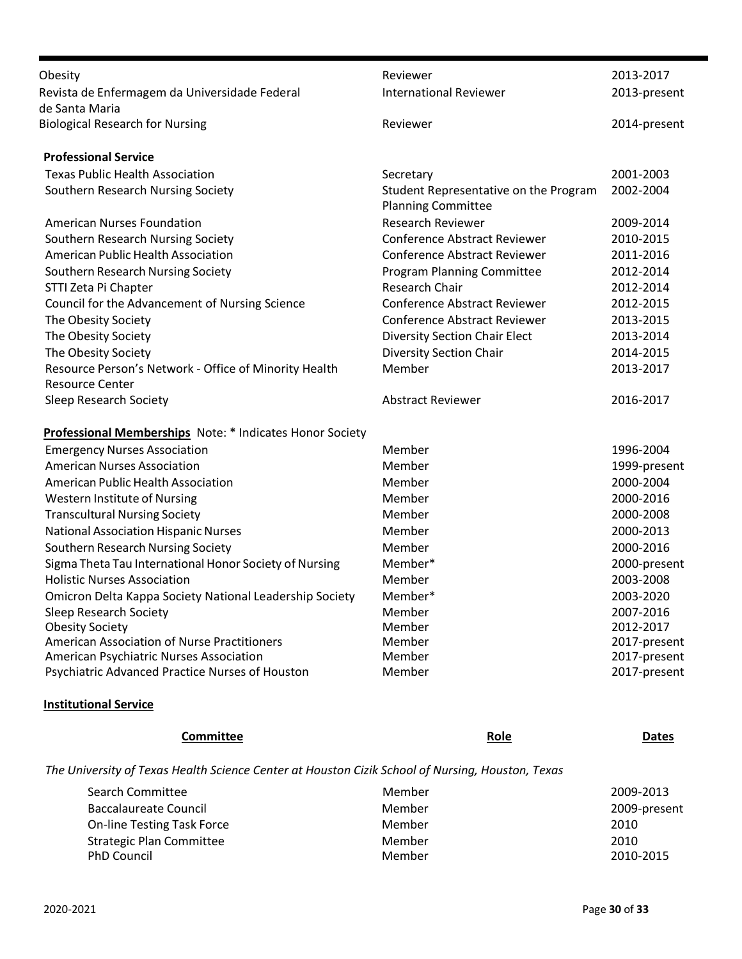| Obesity                                                         | Reviewer                                                           | 2013-2017    |
|-----------------------------------------------------------------|--------------------------------------------------------------------|--------------|
| Revista de Enfermagem da Universidade Federal<br>de Santa Maria | <b>International Reviewer</b>                                      | 2013-present |
| <b>Biological Research for Nursing</b>                          | Reviewer                                                           | 2014-present |
| <b>Professional Service</b>                                     |                                                                    |              |
| <b>Texas Public Health Association</b>                          | Secretary                                                          | 2001-2003    |
| Southern Research Nursing Society                               | Student Representative on the Program<br><b>Planning Committee</b> | 2002-2004    |
| <b>American Nurses Foundation</b>                               | <b>Research Reviewer</b>                                           | 2009-2014    |
| Southern Research Nursing Society                               | <b>Conference Abstract Reviewer</b>                                | 2010-2015    |
| American Public Health Association                              | Conference Abstract Reviewer                                       | 2011-2016    |
| Southern Research Nursing Society                               | Program Planning Committee                                         | 2012-2014    |
| STTI Zeta Pi Chapter                                            | Research Chair                                                     | 2012-2014    |
| Council for the Advancement of Nursing Science                  | <b>Conference Abstract Reviewer</b>                                | 2012-2015    |
| The Obesity Society                                             | <b>Conference Abstract Reviewer</b>                                | 2013-2015    |
| The Obesity Society                                             | <b>Diversity Section Chair Elect</b>                               | 2013-2014    |
| The Obesity Society                                             | <b>Diversity Section Chair</b>                                     | 2014-2015    |
| Resource Person's Network - Office of Minority Health           | Member                                                             | 2013-2017    |
| <b>Resource Center</b>                                          |                                                                    |              |
| Sleep Research Society                                          | <b>Abstract Reviewer</b>                                           | 2016-2017    |
| Professional Memberships Note: * Indicates Honor Society        |                                                                    |              |
| <b>Emergency Nurses Association</b>                             | Member                                                             | 1996-2004    |
| <b>American Nurses Association</b>                              | Member                                                             | 1999-present |
| American Public Health Association                              | Member                                                             | 2000-2004    |
| Western Institute of Nursing                                    | Member                                                             | 2000-2016    |
| <b>Transcultural Nursing Society</b>                            | Member                                                             | 2000-2008    |
| <b>National Association Hispanic Nurses</b>                     | Member                                                             | 2000-2013    |
| Southern Research Nursing Society                               | Member                                                             | 2000-2016    |
| Sigma Theta Tau International Honor Society of Nursing          | Member*                                                            | 2000-present |
| <b>Holistic Nurses Association</b>                              | Member                                                             | 2003-2008    |
| Omicron Delta Kappa Society National Leadership Society         | Member*                                                            | 2003-2020    |
| Sleep Research Society                                          | Member                                                             | 2007-2016    |
| <b>Obesity Society</b>                                          | Member                                                             | 2012-2017    |
| American Association of Nurse Practitioners                     | Member                                                             | 2017-present |
| American Psychiatric Nurses Association                         | Member                                                             | 2017-present |
| Psychiatric Advanced Practice Nurses of Houston                 | Member                                                             | 2017-present |

#### **Institutional Service**

| <b>Committee</b>                                                                                 | <b>Role</b> | <b>Dates</b> |
|--------------------------------------------------------------------------------------------------|-------------|--------------|
| The University of Texas Health Science Center at Houston Cizik School of Nursing, Houston, Texas |             |              |
| Search Committee                                                                                 | Member      | 2009-2013    |
| Baccalaureate Council                                                                            | Member      | 2009-present |
| <b>On-line Testing Task Force</b>                                                                | Member      | 2010         |
| <b>Strategic Plan Committee</b>                                                                  | Member      | 2010         |
| <b>PhD Council</b>                                                                               | Member      | 2010-2015    |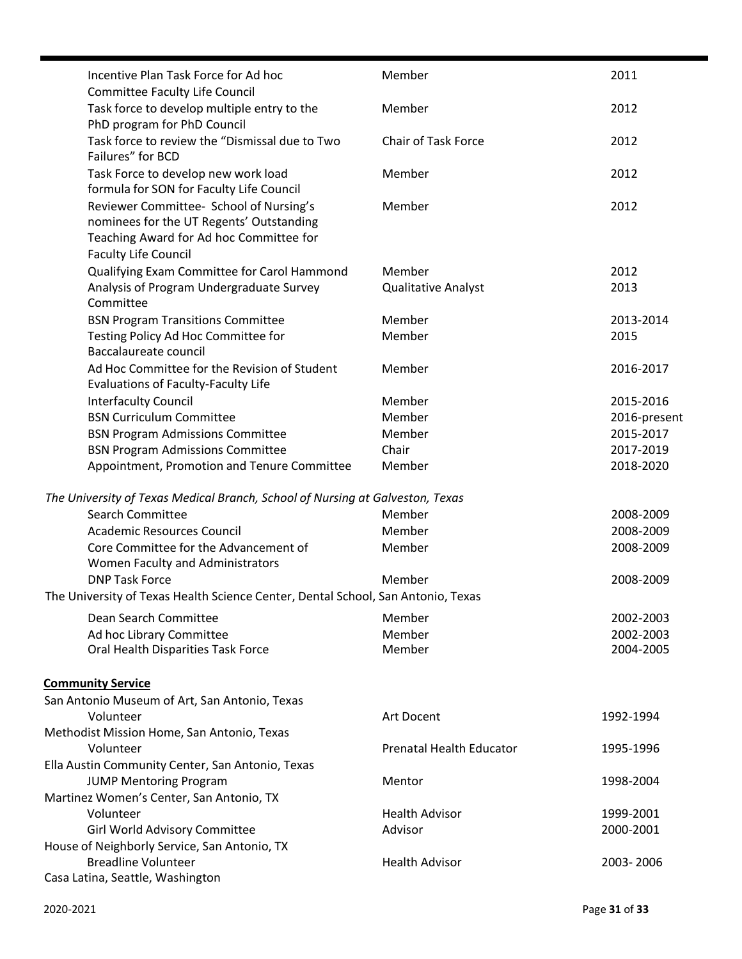| Incentive Plan Task Force for Ad hoc                                                                                                                          | Member                          | 2011         |
|---------------------------------------------------------------------------------------------------------------------------------------------------------------|---------------------------------|--------------|
| <b>Committee Faculty Life Council</b><br>Task force to develop multiple entry to the                                                                          | Member                          | 2012         |
| PhD program for PhD Council<br>Task force to review the "Dismissal due to Two<br>Failures" for BCD                                                            | Chair of Task Force             | 2012         |
| Task Force to develop new work load<br>formula for SON for Faculty Life Council                                                                               | Member                          | 2012         |
| Reviewer Committee- School of Nursing's<br>nominees for the UT Regents' Outstanding<br>Teaching Award for Ad hoc Committee for<br><b>Faculty Life Council</b> | Member                          | 2012         |
| Qualifying Exam Committee for Carol Hammond                                                                                                                   | Member                          | 2012         |
| Analysis of Program Undergraduate Survey<br>Committee                                                                                                         | <b>Qualitative Analyst</b>      | 2013         |
| <b>BSN Program Transitions Committee</b>                                                                                                                      | Member                          | 2013-2014    |
| Testing Policy Ad Hoc Committee for<br>Baccalaureate council                                                                                                  | Member                          | 2015         |
| Ad Hoc Committee for the Revision of Student<br>Evaluations of Faculty-Faculty Life                                                                           | Member                          | 2016-2017    |
| <b>Interfaculty Council</b>                                                                                                                                   | Member                          | 2015-2016    |
| <b>BSN Curriculum Committee</b>                                                                                                                               | Member                          | 2016-present |
| <b>BSN Program Admissions Committee</b>                                                                                                                       | Member                          | 2015-2017    |
| <b>BSN Program Admissions Committee</b>                                                                                                                       | Chair                           | 2017-2019    |
| Appointment, Promotion and Tenure Committee                                                                                                                   | Member                          | 2018-2020    |
| The University of Texas Medical Branch, School of Nursing at Galveston, Texas                                                                                 |                                 |              |
| <b>Search Committee</b>                                                                                                                                       | Member                          | 2008-2009    |
| <b>Academic Resources Council</b>                                                                                                                             | Member                          | 2008-2009    |
| Core Committee for the Advancement of<br>Women Faculty and Administrators                                                                                     | Member                          | 2008-2009    |
| <b>DNP Task Force</b>                                                                                                                                         | Member                          | 2008-2009    |
| The University of Texas Health Science Center, Dental School, San Antonio, Texas                                                                              |                                 |              |
| Dean Search Committee                                                                                                                                         | Member                          | 2002-2003    |
| Ad hoc Library Committee                                                                                                                                      | Member                          | 2002-2003    |
| Oral Health Disparities Task Force                                                                                                                            | Member                          | 2004-2005    |
| <b>Community Service</b>                                                                                                                                      |                                 |              |
| San Antonio Museum of Art, San Antonio, Texas                                                                                                                 |                                 |              |
| Volunteer                                                                                                                                                     | Art Docent                      | 1992-1994    |
| Methodist Mission Home, San Antonio, Texas                                                                                                                    |                                 |              |
| Volunteer                                                                                                                                                     | <b>Prenatal Health Educator</b> | 1995-1996    |
| Ella Austin Community Center, San Antonio, Texas                                                                                                              |                                 |              |
| <b>JUMP Mentoring Program</b>                                                                                                                                 | Mentor                          | 1998-2004    |
| Martinez Women's Center, San Antonio, TX                                                                                                                      |                                 |              |
| Volunteer                                                                                                                                                     | <b>Health Advisor</b>           | 1999-2001    |
| Girl World Advisory Committee                                                                                                                                 | Advisor                         | 2000-2001    |
| House of Neighborly Service, San Antonio, TX                                                                                                                  |                                 |              |
| <b>Breadline Volunteer</b>                                                                                                                                    | <b>Health Advisor</b>           | 2003-2006    |
| Casa Latina, Seattle, Washington                                                                                                                              |                                 |              |

É